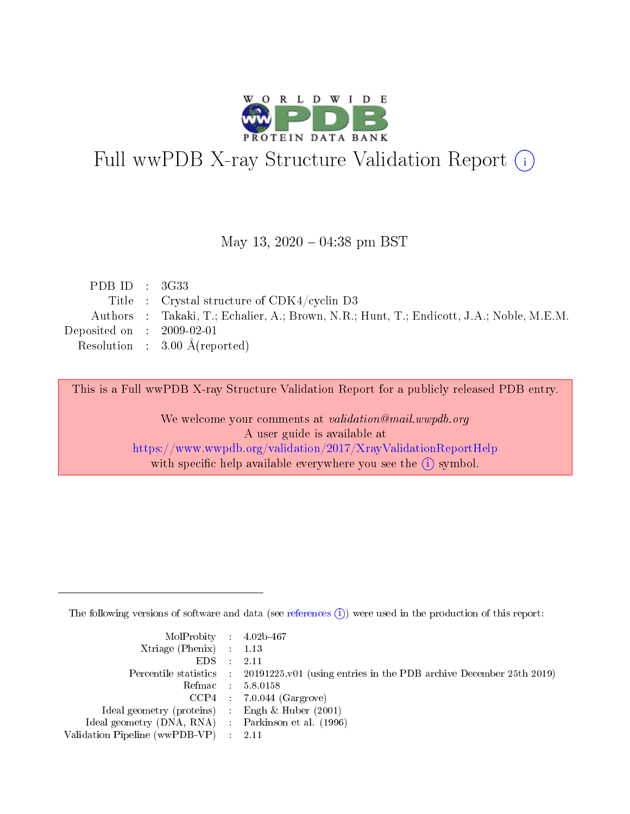

# Full wwPDB X-ray Structure Validation Report (i)

#### May 13,  $2020 - 04:38$  pm BST

| PDB ID : $3G33$             |                                                                                          |
|-----------------------------|------------------------------------------------------------------------------------------|
|                             | Title : Crystal structure of $CDK4/cyclin D3$                                            |
|                             | Authors : Takaki, T.; Echalier, A.; Brown, N.R.; Hunt, T.; Endicott, J.A.; Noble, M.E.M. |
| Deposited on : $2009-02-01$ |                                                                                          |
|                             | Resolution : $3.00 \text{ Å}$ (reported)                                                 |

This is a Full wwPDB X-ray Structure Validation Report for a publicly released PDB entry.

We welcome your comments at validation@mail.wwpdb.org A user guide is available at <https://www.wwpdb.org/validation/2017/XrayValidationReportHelp> with specific help available everywhere you see the  $(i)$  symbol.

The following versions of software and data (see [references](https://www.wwpdb.org/validation/2017/XrayValidationReportHelp#references)  $(i)$ ) were used in the production of this report:

| $MolProbability$ 4.02b-467                          |                                                                                            |
|-----------------------------------------------------|--------------------------------------------------------------------------------------------|
| Xtriage (Phenix) $: 1.13$                           |                                                                                            |
| $EDS$ :                                             | -2.11                                                                                      |
|                                                     | Percentile statistics : 20191225.v01 (using entries in the PDB archive December 25th 2019) |
|                                                     | Refmac : 5.8.0158                                                                          |
|                                                     | $CCP4$ : 7.0.044 (Gargrove)                                                                |
| Ideal geometry (proteins) : Engh $\&$ Huber (2001)  |                                                                                            |
| Ideal geometry (DNA, RNA) : Parkinson et al. (1996) |                                                                                            |
| Validation Pipeline (wwPDB-VP)                      | -2.11                                                                                      |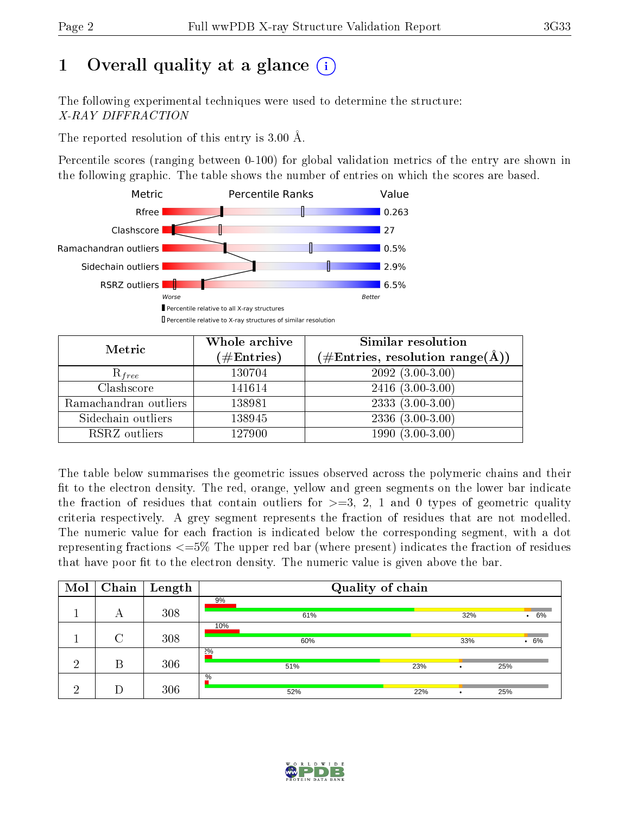# 1 [O](https://www.wwpdb.org/validation/2017/XrayValidationReportHelp#overall_quality)verall quality at a glance  $(i)$

The following experimental techniques were used to determine the structure: X-RAY DIFFRACTION

The reported resolution of this entry is 3.00 Å.

Percentile scores (ranging between 0-100) for global validation metrics of the entry are shown in the following graphic. The table shows the number of entries on which the scores are based.



| Metric                | Whole archive<br>$(\#\mathrm{Entries})$ | Similar resolution<br>$(\#\text{Entries},\, \text{resolution}\; \text{range}(\textup{\AA}))$ |
|-----------------------|-----------------------------------------|----------------------------------------------------------------------------------------------|
| $R_{free}$            | 130704                                  | $209\overline{2}$ $(3.00-3.00)$                                                              |
| Clashscore            | 141614                                  | $2416(3.00-3.00)$                                                                            |
| Ramachandran outliers | 138981                                  | $2333(3.00-3.00)$                                                                            |
| Sidechain outliers    | 138945                                  | $2336(3.00-3.00)$                                                                            |
| RSRZ outliers         | 127900                                  | $1990(3.00-3.00)$                                                                            |

The table below summarises the geometric issues observed across the polymeric chains and their fit to the electron density. The red, orange, yellow and green segments on the lower bar indicate the fraction of residues that contain outliers for  $>=3, 2, 1$  and 0 types of geometric quality criteria respectively. A grey segment represents the fraction of residues that are not modelled. The numeric value for each fraction is indicated below the corresponding segment, with a dot representing fractions  $\epsilon=5\%$  The upper red bar (where present) indicates the fraction of residues that have poor fit to the electron density. The numeric value is given above the bar.

| Mol | Chain  | $\vert$ Length |       | Quality of chain |     |     |        |  |  |
|-----|--------|----------------|-------|------------------|-----|-----|--------|--|--|
|     |        |                | 9%    |                  |     |     |        |  |  |
|     | A      | 308            |       | 61%              |     | 32% | 6%     |  |  |
|     |        |                | 10%   |                  |     |     |        |  |  |
|     | $\cap$ | 308            |       | 60%              |     | 33% | $.6\%$ |  |  |
|     |        |                | $2\%$ |                  |     |     |        |  |  |
| ച   | В      | 306            |       | 51%              | 23% |     | 25%    |  |  |
|     |        |                | $\%$  |                  |     |     |        |  |  |
| ച   |        | 306            |       | 52%              | 22% |     | 25%    |  |  |

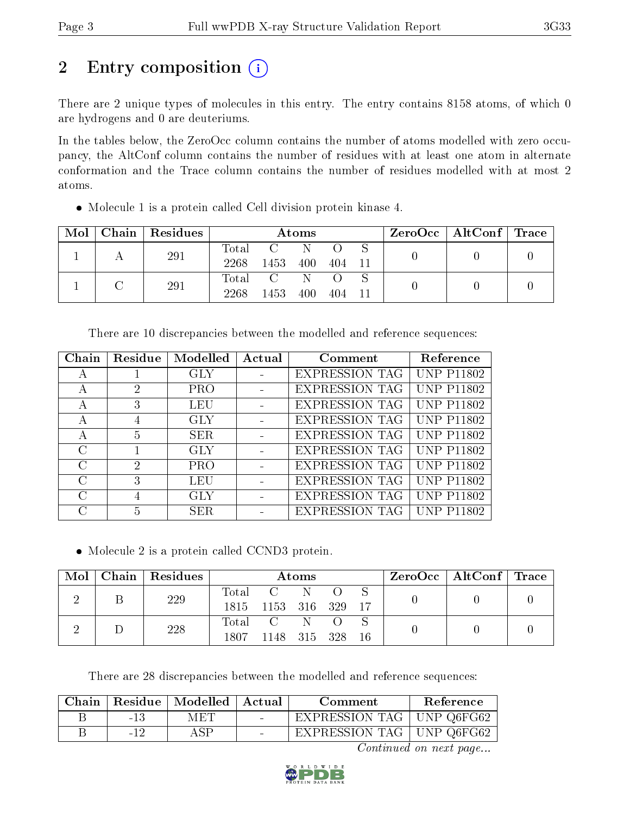# 2 Entry composition  $\left( \cdot \right)$

There are 2 unique types of molecules in this entry. The entry contains 8158 atoms, of which 0 are hydrogens and 0 are deuteriums.

In the tables below, the ZeroOcc column contains the number of atoms modelled with zero occupancy, the AltConf column contains the number of residues with at least one atom in alternate conformation and the Trace column contains the number of residues modelled with at most 2 atoms.

|  |  | Mol   Chain   Residues |             |      | Atoms |        |  | ZeroOcc   AltConf   Trace |  |
|--|--|------------------------|-------------|------|-------|--------|--|---------------------------|--|
|  |  | 291                    | Total C N O |      |       |        |  |                           |  |
|  |  |                        | 2268        | 1453 | 400   | 404 11 |  |                           |  |
|  |  |                        | Total C N O |      |       |        |  |                           |  |
|  |  | 291                    | 2268        | 1453 | 400   | 404    |  |                           |  |

Molecule 1 is a protein called Cell division protein kinase 4.

| Chain                       | Residue       | Modelled   | Actual | Comment               | Reference         |
|-----------------------------|---------------|------------|--------|-----------------------|-------------------|
| А                           |               | <b>GLY</b> |        | <b>EXPRESSION TAG</b> | <b>UNP P11802</b> |
| А                           | 2             | <b>PRO</b> |        | <b>EXPRESSION TAG</b> | <b>UNP P11802</b> |
| А                           | 3             | LEU        |        | <b>EXPRESSION TAG</b> | <b>UNP P11802</b> |
| А                           | 4             | <b>GLY</b> |        | <b>EXPRESSION TAG</b> | <b>UNP P11802</b> |
| А                           | 5             | SER.       |        | <b>EXPRESSION TAG</b> | <b>UNP P11802</b> |
| $\mathcal{C}$               |               | GLY        |        | <b>EXPRESSION TAG</b> | <b>UNP P11802</b> |
| $\cap$                      | $\mathcal{D}$ | <b>PRO</b> |        | <b>EXPRESSION TAG</b> | <b>UNP P11802</b> |
| $\mathcal{C}_{\mathcal{C}}$ | 3             | LEU        |        | <b>EXPRESSION TAG</b> | <b>UNP P11802</b> |
| $\cap$                      |               | <b>GLY</b> |        | <b>EXPRESSION TAG</b> | <b>UNP P11802</b> |
| C                           | 5             | <b>SER</b> |        | <b>EXPRESSION TAG</b> | <b>UNP P11802</b> |

There are 10 discrepancies between the modelled and reference sequences:

• Molecule 2 is a protein called CCND3 protein.

| Mol | Chain Residues | Atoms |                                                                         |    |  | $ZeroOcc \mid AltConf \mid Trace$ |  |  |
|-----|----------------|-------|-------------------------------------------------------------------------|----|--|-----------------------------------|--|--|
|     | 229            | Total |                                                                         |    |  |                                   |  |  |
|     |                | 1815. | 1153 316 329                                                            |    |  | $-17$                             |  |  |
|     | 228            |       | $\begin{matrix} \text{Total} \quad & \text{C} \quad \quad \end{matrix}$ | N. |  |                                   |  |  |
|     |                | 1807  | 1148 315 328                                                            |    |  | 16                                |  |  |

There are 28 discrepancies between the modelled and reference sequences:

| Chain |       | Residue   Modelled   Actual |                 | Comment                     | Reference         |
|-------|-------|-----------------------------|-----------------|-----------------------------|-------------------|
|       | -13   | MET                         | <b>Security</b> | EXPRESSION TAG              | $\Box$ UNP Q6FG62 |
|       | $-12$ |                             |                 | EXPRESSION TAG   UNP Q6FG62 |                   |

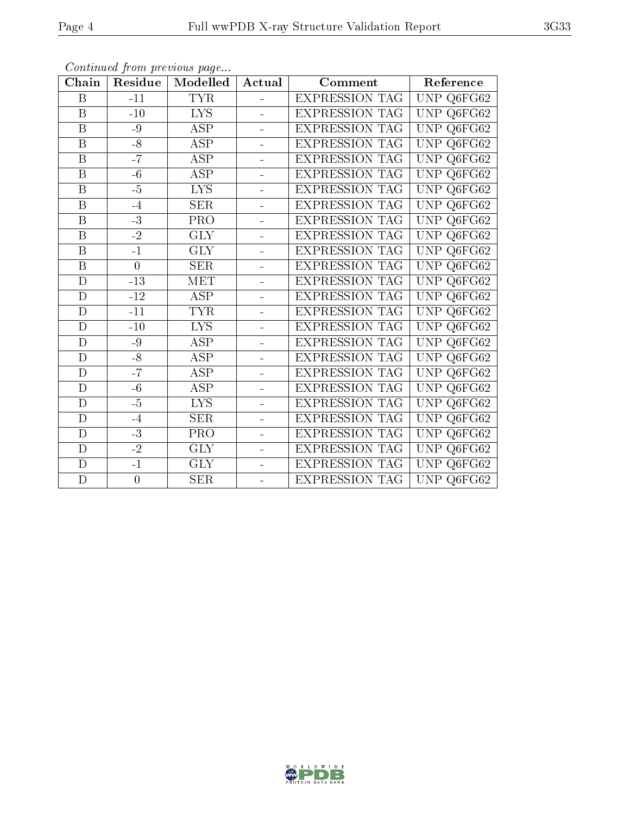| Chain                   | Residue         | Modelled                | Actual<br>Comment        |                       | Reference                                       |
|-------------------------|-----------------|-------------------------|--------------------------|-----------------------|-------------------------------------------------|
| B                       | $-11$           | <b>TYR</b>              |                          | <b>EXPRESSION TAG</b> | <b>UNP</b><br>Q6FG62                            |
| B                       | $-10$           | <b>LYS</b>              | $\equiv$                 | EXPRESSION TAG        | Q6FG62<br>UNP                                   |
| $\overline{\mathrm{B}}$ | $-9$            | $\overline{\text{ASP}}$ | $\blacksquare$           | <b>EXPRESSION TAG</b> | <b>UNP</b><br>Q6FG62                            |
| B                       | $-8$            | <b>ASP</b>              | ÷                        | <b>EXPRESSION TAG</b> | <b>UNP</b><br>Q6FG62                            |
| $\overline{\mathrm{B}}$ | $-\overline{7}$ | $\overline{\text{ASP}}$ | $\blacksquare$           | <b>EXPRESSION TAG</b> | <b>UNP</b><br>$\overline{\text{Q}6\text{FG}62}$ |
| B                       | $-6$            | <b>ASP</b>              | $\blacksquare$           | <b>EXPRESSION TAG</b> | <b>UNP</b><br>Q6FG62                            |
| B                       | $-5$            | <b>LYS</b>              | ÷                        | <b>EXPRESSION TAG</b> | <b>UNP</b><br>Q6FG62                            |
| B                       | $-4$            | <b>SER</b>              | ÷.                       | <b>EXPRESSION TAG</b> | Q6FG62<br><b>UNP</b>                            |
| B                       | $-3$            | PRO                     |                          | <b>EXPRESSION TAG</b> | <b>UNP</b><br>Q6FG62                            |
| B                       | $-2$            | <b>GLY</b>              | $\equiv$                 | <b>EXPRESSION TAG</b> | <b>UNP</b><br>Q6FG62                            |
| B                       | $-1$            | <b>GLY</b>              | $\equiv$                 | <b>EXPRESSION TAG</b> | <b>UNP</b><br>Q6FG62                            |
| $\overline{\mathrm{B}}$ | $\overline{0}$  | SER                     | ÷                        | <b>EXPRESSION TAG</b> | $\overline{UNP}$<br>Q6FG62                      |
| $\overline{D}$          | $-13$           | <b>MET</b>              | $\blacksquare$           | <b>EXPRESSION TAG</b> | <b>UNP</b><br>Q6FG62                            |
| $\mathbf D$             | $-12$           | ASP                     | $\overline{\phantom{0}}$ | <b>EXPRESSION TAG</b> | <b>UNP</b><br>Q6FG62                            |
| D                       | $-11$           | <b>TYR</b>              | ÷                        | <b>EXPRESSION TAG</b> | <b>UNP</b><br>Q6FG62                            |
| D                       | $-10$           | <b>LYS</b>              | $\blacksquare$           | <b>EXPRESSION TAG</b> | <b>UNP</b><br>Q6FG62                            |
| D                       | $-9$            | $\overline{\text{ASP}}$ | $\blacksquare$           | <b>EXPRESSION TAG</b> | <b>UNP</b><br>$\overline{\text{Q}6\text{FG}62}$ |
| D                       | $-8$            | ASP                     | $\equiv$                 | <b>EXPRESSION TAG</b> | <b>UNP</b><br>Q6FG62                            |
| D                       | $-7$            | <b>ASP</b>              | $\overline{\phantom{0}}$ | <b>EXPRESSION TAG</b> | <b>UNP</b><br>Q6FG62                            |
| $\overline{D}$          | $-6$            | <b>ASP</b>              | $\blacksquare$           | <b>EXPRESSION TAG</b> | <b>UNP</b><br>Q6FG62                            |
| D                       | $-5$            | $\overline{\text{LYS}}$ | ÷                        | <b>EXPRESSION TAG</b> | <b>UNP</b><br>Q6FG62                            |
| $\overline{\rm D}$      | $-4$            | SER                     |                          | <b>EXPRESSION TAG</b> | <b>UNP</b><br>$\overline{\text{Q}6\text{FG}62}$ |
| D                       | $-3$            | PRO                     | $\overline{\phantom{0}}$ | <b>EXPRESSION TAG</b> | <b>UNP</b><br>Q6FG62                            |
| D                       | $\overline{-2}$ | $\overline{\text{GLY}}$ | $\equiv$                 | <b>EXPRESSION TAG</b> | <b>UNP</b><br>Q6FG62                            |
| D                       | $-1$            | <b>GLY</b>              |                          | <b>EXPRESSION TAG</b> | <b>UNP</b><br>Q6FG62                            |
| D                       | $\overline{0}$  | <b>SER</b>              |                          | <b>EXPRESSION TAG</b> | <b>UNP</b><br>Q6FG62                            |

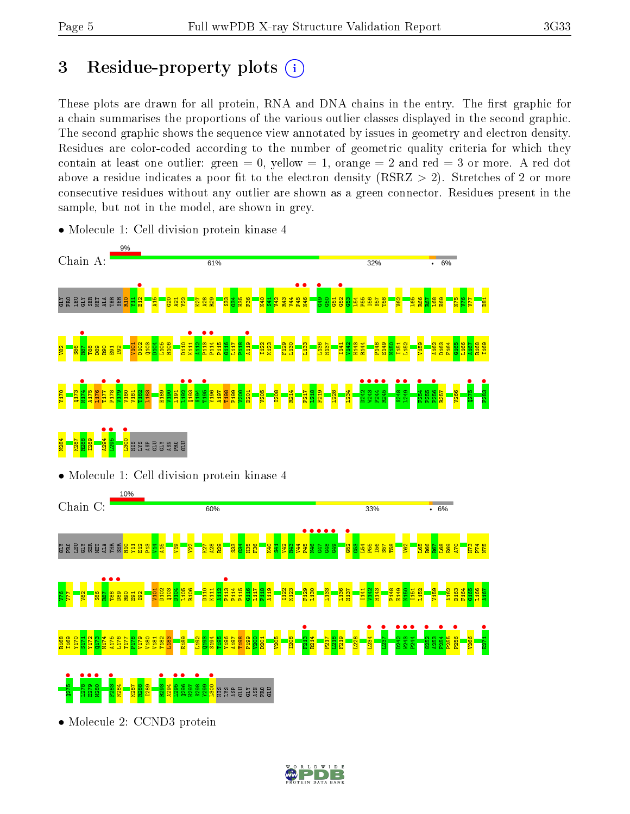## 3 Residue-property plots  $(i)$

These plots are drawn for all protein, RNA and DNA chains in the entry. The first graphic for a chain summarises the proportions of the various outlier classes displayed in the second graphic. The second graphic shows the sequence view annotated by issues in geometry and electron density. Residues are color-coded according to the number of geometric quality criteria for which they contain at least one outlier: green  $= 0$ , yellow  $= 1$ , orange  $= 2$  and red  $= 3$  or more. A red dot above a residue indicates a poor fit to the electron density (RSRZ  $> 2$ ). Stretches of 2 or more consecutive residues without any outlier are shown as a green connector. Residues present in the sample, but not in the model, are shown in grey.



• Molecule 1: Cell division protein kinase 4

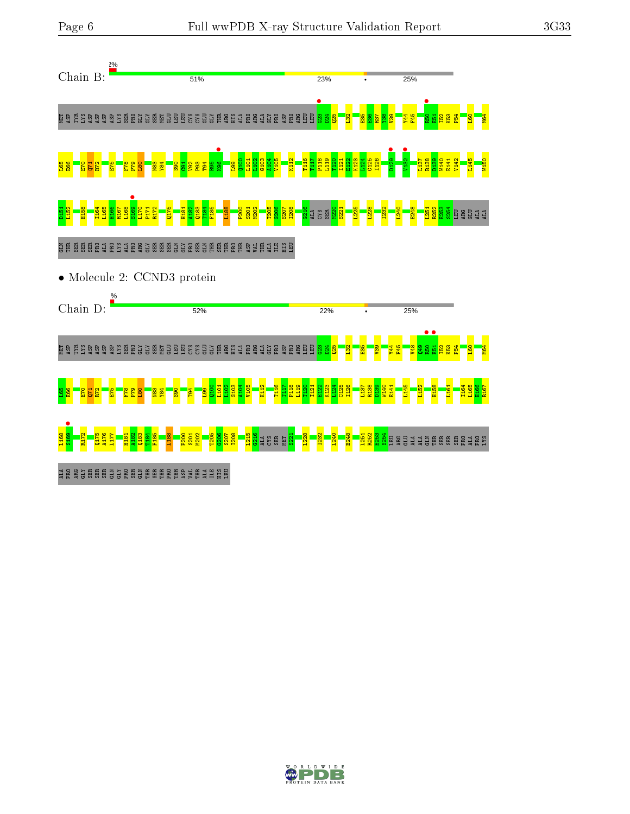

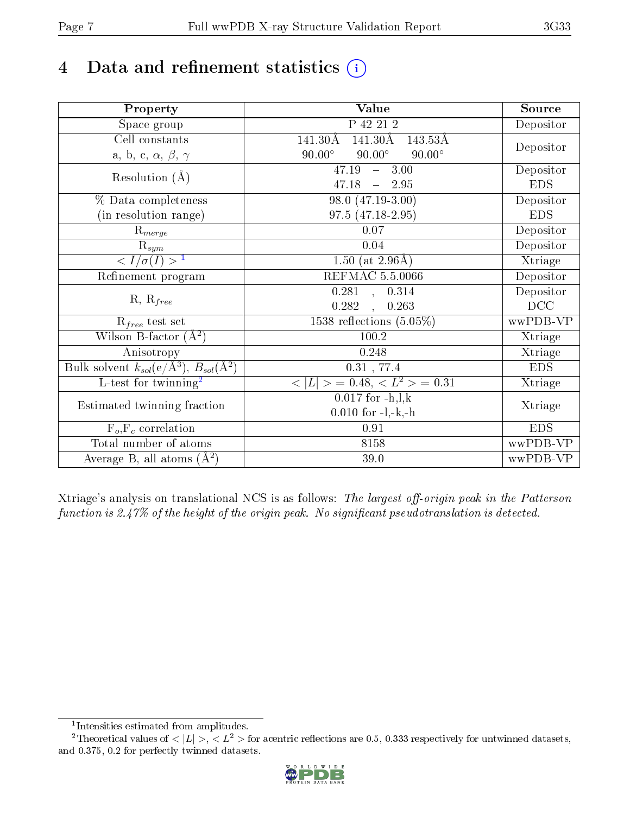# 4 Data and refinement statistics  $(i)$

| Property                                                             | <b>Value</b>                                        | Source     |
|----------------------------------------------------------------------|-----------------------------------------------------|------------|
| $\overline{\text{Space}}$ group                                      | P 42 21 2                                           | Depositor  |
| Cell constants                                                       | $141.30\text{\AA}$<br>141.30Å<br>$143.53\text{\AA}$ |            |
| a, b, c, $\alpha$ , $\beta$ , $\gamma$                               | $90.00^\circ$<br>$90.00^\circ$<br>$90.00^\circ$     | Depositor  |
| Resolution $(\AA)$                                                   | 47.19<br>3.00<br>$\frac{1}{2}$                      | Depositor  |
|                                                                      | 47.18<br>$-2.95$                                    | <b>EDS</b> |
| % Data completeness                                                  | 98.0 (47.19-3.00)                                   | Depositor  |
| (in resolution range)                                                | 97.5 (47.18-2.95)                                   | <b>EDS</b> |
| $R_{merge}$                                                          | 0.07                                                | Depositor  |
| $\frac{R_{sym}}{{}1}$                                                | 0.04                                                | Depositor  |
|                                                                      | $\overline{1.50}$ (at 2.96Å)                        | Xtriage    |
| Refinement program                                                   | <b>REFMAC 5.5.0066</b>                              | Depositor  |
|                                                                      | 0.281, 0.314                                        | Depositor  |
| $R, R_{free}$                                                        | 0.282<br>0.263<br>$\overline{a}$                    | DCC        |
| $R_{free}$ test set                                                  | 1538 reflections $(5.05\%)$                         | wwPDB-VP   |
| Wilson B-factor $(A^2)$                                              | 100.2                                               | Xtriage    |
| Anisotropy                                                           | 0.248                                               | Xtriage    |
| Bulk solvent $k_{sol}(e/\mathring{A}^3)$ , $B_{sol}(\mathring{A}^2)$ | $0.31$ , 77.4                                       | <b>EDS</b> |
| L-test for twinning <sup>2</sup>                                     | $< L >$ = 0.48, $< L2$ = 0.31                       | Xtriage    |
| Estimated twinning fraction                                          | $0.017$ for $-h, l, k$                              | Xtriage    |
|                                                                      | $0.010$ for $-l,-k,-h$                              |            |
| $F_o, F_c$ correlation                                               | 0.91                                                | <b>EDS</b> |
| Total number of atoms                                                | 8158                                                | wwPDB-VP   |
| Average B, all atoms $(A^2)$                                         | 39.0                                                | wwPDB-VP   |

Xtriage's analysis on translational NCS is as follows: The largest off-origin peak in the Patterson function is  $2.47\%$  of the height of the origin peak. No significant pseudotranslation is detected.

<sup>&</sup>lt;sup>2</sup>Theoretical values of  $\langle |L| \rangle$ ,  $\langle L^2 \rangle$  for acentric reflections are 0.5, 0.333 respectively for untwinned datasets, and 0.375, 0.2 for perfectly twinned datasets.



<span id="page-6-1"></span><span id="page-6-0"></span><sup>1</sup> Intensities estimated from amplitudes.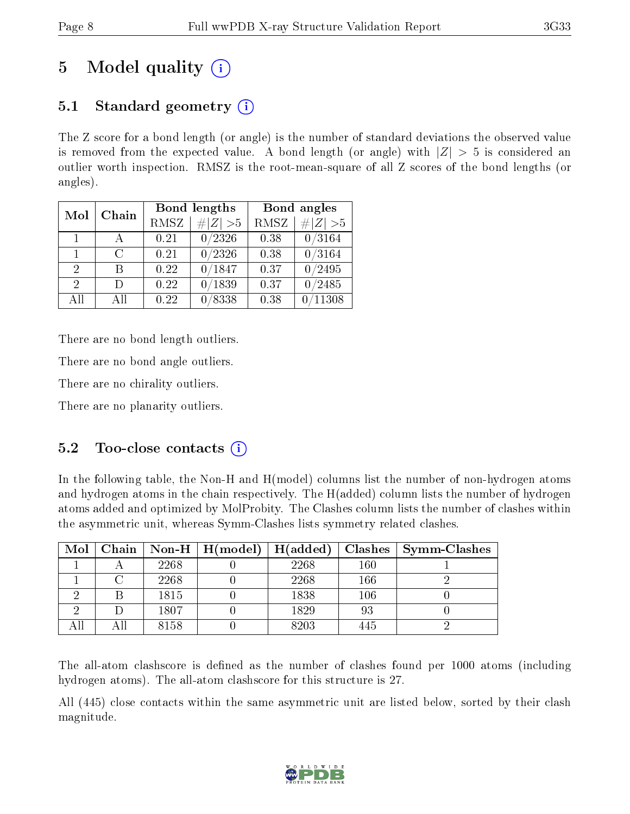# 5 Model quality  $(i)$

### 5.1 Standard geometry  $\overline{()}$

The Z score for a bond length (or angle) is the number of standard deviations the observed value is removed from the expected value. A bond length (or angle) with  $|Z| > 5$  is considered an outlier worth inspection. RMSZ is the root-mean-square of all Z scores of the bond lengths (or angles).

| Mol           | Chain |             | Bond lengths | Bond angles |        |  |
|---------------|-------|-------------|--------------|-------------|--------|--|
|               | RMSZ  | $\ Z\  > 5$ | <b>RMSZ</b>  | # $ Z  > 5$ |        |  |
| $\mathbf{1}$  |       | 0.21        | 0/2326       | 0.38        | 0/3164 |  |
| 1.            | C     | 0.21        | 0/2326       | 0.38        | 0/3164 |  |
| $\mathcal{D}$ | R     | 0.22        | 0/1847       | 0.37        | 0/2495 |  |
| $\mathcal{D}$ | Ð     | 0.22        | 0/1839       | 0.37        | /2485  |  |
| AĦ            | ΑH    | 0.22        | 8338         | 0.38        | 11308  |  |

There are no bond length outliers.

There are no bond angle outliers.

There are no chirality outliers.

There are no planarity outliers.

### 5.2 Too-close contacts  $\overline{()}$

In the following table, the Non-H and H(model) columns list the number of non-hydrogen atoms and hydrogen atoms in the chain respectively. The H(added) column lists the number of hydrogen atoms added and optimized by MolProbity. The Clashes column lists the number of clashes within the asymmetric unit, whereas Symm-Clashes lists symmetry related clashes.

| Mol | Chain |      | $\mid$ Non-H $\mid$ H(model) $\mid$ | H(added) | Clashes | <b>Symm-Clashes</b> |
|-----|-------|------|-------------------------------------|----------|---------|---------------------|
|     |       | 2268 |                                     | 2268     | 160     |                     |
|     |       | 2268 |                                     | 2268     | 166     |                     |
|     |       | 1815 |                                     | 1838     | 106     |                     |
|     |       | 1807 |                                     | 1829     | 93      |                     |
|     |       | 8158 |                                     | 8203     | 445     |                     |

The all-atom clashscore is defined as the number of clashes found per 1000 atoms (including hydrogen atoms). The all-atom clashscore for this structure is 27.

All (445) close contacts within the same asymmetric unit are listed below, sorted by their clash magnitude.

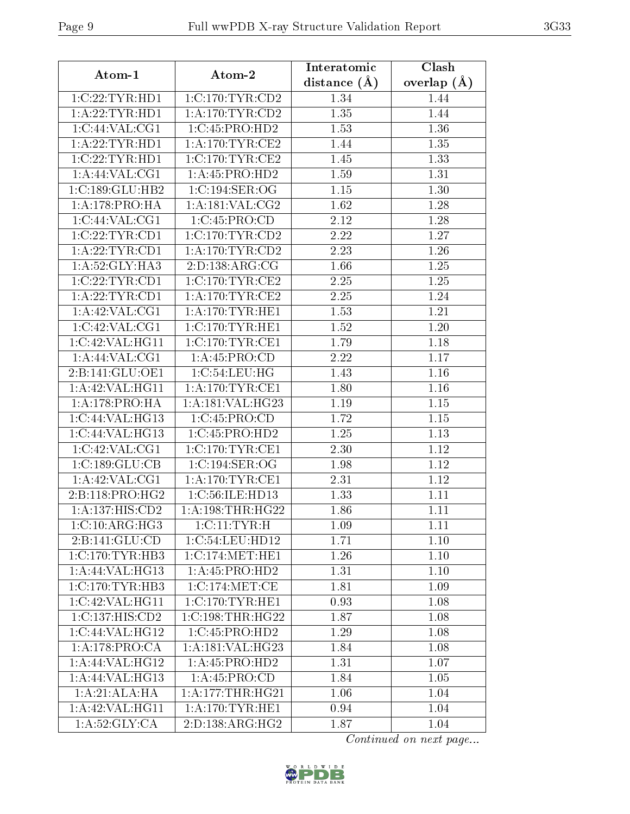| Atom-1                                 | Atom-2               | Interatomic    | Clash         |
|----------------------------------------|----------------------|----------------|---------------|
|                                        |                      | distance $(A)$ | overlap $(A)$ |
| $1:C:22:T\overline{YR:H}\overline{D1}$ | 1:C:170:TYR:CD2      | 1.34           | 1.44          |
| 1:A:22:TYR:HDI                         | 1: A:170: TYR: CD2   | 1.35           | 1.44          |
| 1:C:44:VAL:CG1                         | 1:C:45:PRO:HD2       | 1.53           | 1.36          |
| 1:A:22:TYR:HD1                         | 1: A:170:TYR:CE2     | 1.44           | 1.35          |
| 1:C:22:TYR:HD1                         | 1:C:170:TYR:CE2      | 1.45           | 1.33          |
| 1: A:44: VAL:CG1                       | 1:A:45:PRO:HD2       | 1.59           | 1.31          |
| 1:C:189:GLU:HB2                        | 1:C:194:SER:OG       | 1.15           | 1.30          |
| 1:A:178:PRO:HA                         | $1:$ A:181:VAL:CG2   | 1.62           | 1.28          |
| 1:C:44:VAL:CG1                         | 1:C:45:PRO:CD        | 2.12           | 1.28          |
| 1:C:22:TYR:CD1                         | 1:C:170:TYR:CD2      | 2.22           | 1.27          |
| 1: A:22:TYR:CD1                        | 1: A:170: TYR: CD2   | 2.23           | 1.26          |
| 1:A:52:GLY:HA3                         | 2: D: 138: ARG: CG   | 1.66           | 1.25          |
| 1:C:22:TYR:CD1                         | 1: C:170: TYR: CE2   | 2.25           | $1.25\,$      |
| 1: A:22:TYR:CD1                        | 1: A:170: TYR: CE2   | 2.25           | 1.24          |
| 1:A:42:VAL:CG1                         | 1: A:170: TYR: HE1   | 1.53           | 1.21          |
| 1:C:42:VAL:CG1                         | 1:C:170:TYR:HE1      | 1.52           | 1.20          |
| 1:C:42:VAL:HG11                        | 1:C:170:TYR:CE1      | 1.79           | 1.18          |
| 1:A:44:VAL:CG1                         | 1:A:45:PRO:CD        | 2.22           | 1.17          |
| 2:B:141:GLU:OE1                        | 1:C:54:LEU:HG        | 1.43           | $1.16\,$      |
| 1: A:42: VAL:HGI1                      | 1: A:170: TYR: CE1   | 1.80           | 1.16          |
| 1:A:178:PRO:HA                         | 1:A:181:VAL:HG23     | 1.19           | $1.15\,$      |
| 1:C:44:VAL:HG13                        | 1:C:45:PRO:CD        | 1.72           | $1.15\,$      |
| 1:C:44:VAL:HG13                        | 1:C:45:PRO:HD2       | 1.25           | 1.13          |
| 1:C:42:VAL:CG1                         | 1:C:170:TYR:CE1      | 2.30           | 1.12          |
| 1:C:189:GLU:CB                         | 1:C:194:SER:OG       | 1.98           | 1.12          |
| 1:A:42:VAL:CG1                         | 1: A:170: TYR: CE1   | 2.31           | 1.12          |
| 2:B:118:PRO:HG2                        | 1:C:56:ILE:HD13      | 1.33           | 1.11          |
| 1:A:137:HIS:CD2                        | 1: A: 198: THR: HG22 | 1.86           | 1.11          |
| 1:C:10:ARG:HG3                         | 1:C:11:TYR:H         | 1.09           | 1.11          |
| 2: B: 141: GLU: CD                     | 1:C:54:LEU:HD12      | 1.71           | 1.10          |
| 1: C:170: TYR: HB3                     | 1:C:174:MET:HE1      | 1.26           | 1.10          |
| 1:A:44:VAL:HG13                        | 1: A:45: PRO:HD2     | 1.31           | 1.10          |
| 1:C:170:TYR:HB3                        | 1:C:174:MET:CE       | 1.81           | 1.09          |
| 1:C:42:VAL:HG11                        | 1:C:170:TYR:HE1      | 0.93           | 1.08          |
| 1:C:137:HIS:CD2                        | 1:C:198:THR:HG22     | 1.87           | 1.08          |
| 1:C:44:VAL:HG12                        | 1:C:45:PRO:HD2       | 1.29           | 1.08          |
| $1:A:\overline{178:PRO:CA}$            | 1: A:181: VAL:HG23   | 1.84           | 1.08          |
| 1:A:44:VAL:HG12                        | 1:A:45:PRO:HD2       | 1.31           | 1.07          |
| 1: A:44: VAL: HG13                     | 1:A:45:PRO:CD        | 1.84           | 1.05          |
| 1:A:21:ALA:HA                          | 1: A:177:THR:HG21    | 1.06           | 1.04          |
| 1:A:42:VAL:HG11                        | 1: A:170: TYR: HE1   | 0.94           | 1.04          |
| 1: A:52: GLY:CA                        | 2:D:138:ARG:HG2      | 1.87           | 1.04          |

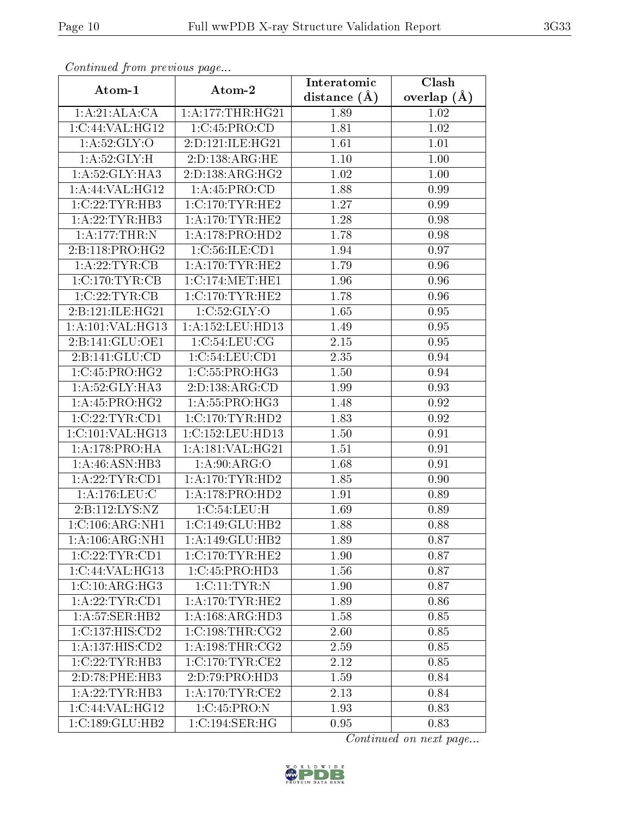| Commaca jibin previous page         |                              | Interatomic    | Clash         |
|-------------------------------------|------------------------------|----------------|---------------|
| Atom-1                              | Atom-2                       | distance $(A)$ | overlap $(A)$ |
| 1:A:21:ALA:CA                       | 1:A:177:THR:HG21             | 1.89           | 1.02          |
| 1:C:44:VAL:HG12                     | 1:C:45:PRO:CD                | 1.81           | 1.02          |
| 1: A:52: GLY:O                      | 2:D:121:ILE:HG21             | 1.61           | 1.01          |
| 1: A:52: GLY: H                     | 2:D:138:ARG:HE               | 1.10           | $1.00\,$      |
| 1: A:52: GLY:HA3                    | 2:D:138:ARG:HG2              | 1.02           | 1.00          |
| 1:A:44:VAL:HG12                     | 1: A:45: PRO:CD              | 1.88           | 0.99          |
| 1:C:22:TYR:HB3                      | 1:C:170:TYR:HE2              | 1.27           | 0.99          |
| 1:A:22:TYR:HB3                      | 1: A:170:TYR:HE2             | 1.28           | 0.98          |
| 1:A:177:THR:N                       | 1:A:178:PRO:HD2              | 1.78           | 0.98          |
| 2:B:118:PRO:HG2                     | 1:C:56:ILE:CD1               | 1.94           | 0.97          |
| 1:A:22:TYR:CB                       | 1: A:170:TYR:HE2             | 1.79           | 0.96          |
| 1:C:170:TYR:CB                      | 1:C:174:MET:HE1              | 1.96           | 0.96          |
| 1:C:22:TYR:CB                       | 1:C:170:TYR:HE2              | 1.78           | 0.96          |
| 2:B:121:ILE:HG21                    | 1:C:52:GLY:O                 | 1.65           | 0.95          |
| 1:A:101:VAL:HG13                    | 1: A: 152: LEU: HD13         | 1.49           | 0.95          |
| 2:B:141:GLU:OE1                     | 1:C:54:LEU:CG                | 2.15           | 0.95          |
| 2:B:141:GLU:CD                      | 1:C:54:LEU:CD1               | 2.35           | 0.94          |
| 1:C:45:PRO:HG2                      | 1:C:55:PRO:HG3               | 1.50           | 0.94          |
| 1:A:52:GLY:HA3                      | 2:D:138:ARG:CD               | 1.99           | 0.93          |
| 1:A:45:PRO:HG2                      | 1:A:55:PRO:HG3               | 1.48           | 0.92          |
| 1:C:22:TYR:CD1                      | 1:C:170:TYR:HD2              | 1.83           | 0.92          |
| 1:C:101:VAL:HG13                    | 1:C:152:LEU:HD13             | 1.50           | 0.91          |
| 1:A:178:PRO:HA                      | 1:A:181:VAL:HG21             | 1.51           | 0.91          |
| 1: A:46: ASN:HB3                    | 1: A:90: ARG:O               | 1.68           | 0.91          |
| 1: A:22:TYR:CD1                     | 1: A:170: TYR: HD2           | 1.85           | $0.90\,$      |
| 1: A:176: LEU: C                    | 1:A:178:PRO:HD2              | 1.91           | 0.89          |
| 2:B:112:LYS:NZ                      | 1: C:54:LEU:H                | 1.69           | 0.89          |
| $1:C:106:ARG:\overline{\text{NH1}}$ | $1:C:149:GLU:H\overline{B2}$ | 1.88           | 0.88          |
| 1:A:106:ARG:NH1                     | 1:A:149:GLU:HB2              | 1.89           | 0.87          |
| 1:C:22:TYR:CD1                      | 1:C:170:TYR:HE2              | 1.90           | 0.87          |
| 1:C:44:VAL:HG13                     | 1:C:45:PRO:HD3               | 1.56           | 0.87          |
| 1:C:10:ARG:HG3                      | 1:C:11:TYR:N                 | 1.90           | 0.87          |
| 1: A:22:TYR:CD1                     | 1: A:170:TYR:HE2             | 1.89           | 0.86          |
| 1: A:57: SER:HB2                    | 1: A:168: ARG:HD3            | 1.58           | 0.85          |
| 1:C:137:HIS:CD2                     | 1:C:198:THR:CG2              | 2.60           | 0.85          |
| 1:A:137:HIS:CD2                     | 1: A:198:THR:CG2             | 2.59           | 0.85          |
| 1:C:22:TYR:HB3                      | 1:C:170:TYR:CE2              | 2.12           | 0.85          |
| 2:D:78:PHE:HB3                      | 2:D:79:PRO:HD3               | 1.59           | 0.84          |
| 1:A:22:TYR:HB3                      | 1: A:170: TYR: CE2           | 2.13           | 0.84          |
| 1:C:44:VAL:HG12                     | 1:C:45:PRO:N                 | 1.93           | 0.83          |
| 1:C:189:GLU:HB2                     | 1:C:194:SER:HG               | 0.95           | 0.83          |

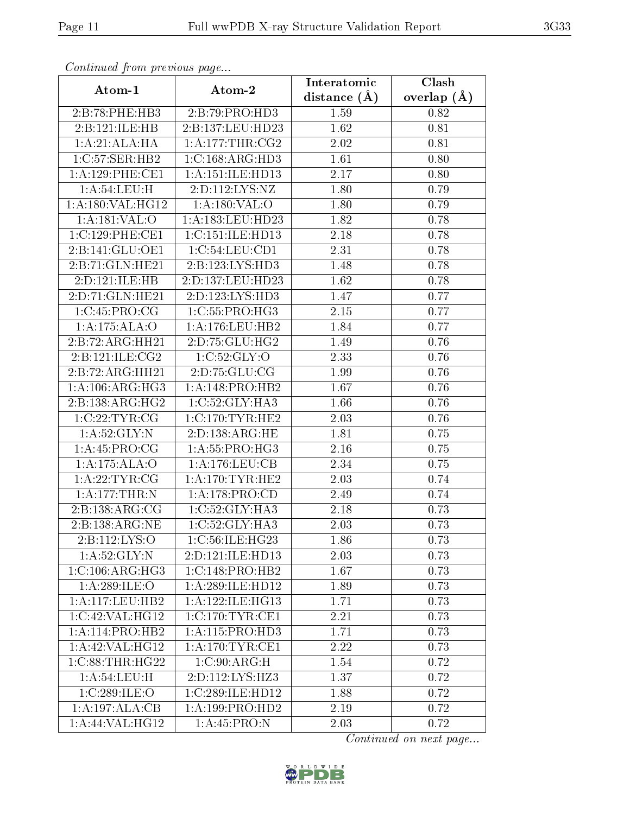| Continuea from previous page |                              | Interatomic    | Clash         |
|------------------------------|------------------------------|----------------|---------------|
| Atom-1                       | Atom-2                       | distance $(A)$ | overlap $(A)$ |
| 2:B:78:PHE:HB3               | 2:B:79:PRO:HD3               | 1.59           | 0.82          |
| 2:B:121:ILE:HB               | 2:B:137:LEU:HD23             | 1.62           | 0.81          |
| 1:A:21:ALA:HA                | 1: A:177:THR:CG2             | 2.02           | 0.81          |
| 1:C:57:SER:HB2               | 1:C:168:ARG:HD3              | 1.61           | 0.80          |
| 1:A:129:PHE:CE1              | 1:A:151:ILE:HD13             | 2.17           | 0.80          |
| 1: A:54:LEU:H                | 2:D:112:LYS:NZ               | 1.80           | 0.79          |
| 1:A:180:VAL:HG12             | 1: A: 180: VAL: O            | 1.80           | 0.79          |
| 1: A:181: VAL:O              | 1:A:183:LEU:HD23             | 1.82           | 0.78          |
| 1:C:129:PHE:CE1              | 1:C:151:ILE:HD13             | 2.18           | 0.78          |
| 2:B:141:GLU:OE1              | 1:C:54:LEU:CD1               | 2.31           | 0.78          |
| 2:B:71:GLN:HE21              | 2:B:123:LYS:HD3              | 1.48           | 0.78          |
| 2:D:121:ILE:HB               | 2:D:137:LEU:HD23             | 1.62           | 0.78          |
| 2:D:71:GLN:HE21              | 2:D:123:LYS:HD3              | 1.47           | 0.77          |
| 1:C:45:PRO:CG                | 1:C:55:PRO:HG3               | 2.15           | 0.77          |
| 1:A:175:ALA:O                | 1: A:176: LEU: HB2           | 1.84           | 0.77          |
| 2:B:72:ARG:HH21              | 2:D:75:GLU:HG2               | 1.49           | 0.76          |
| 2:B:121:ILE:CG2              | 1:C:52:GLY:O                 | 2.33           | 0.76          |
| 2:B:72:ARG:HH21              | 2: D: 75: GLU: CG            | 1.99           | $0.76\,$      |
| 1: A:106:ARG:HG3             | 1:A:148:PRO:HB2              | 1.67           | 0.76          |
| 2:B:138:ARG:HG2              | 1:C:52:GLY:HA3               | 1.66           | 0.76          |
| 1:C:22:TYR:CG                | 1:C:170:TYR:HE2              | 2.03           | 0.76          |
| 1: A:52: GLY:N               | 2:D:138:ARG:HE               | 1.81           | 0.75          |
| 1: A:45: PRO:CG              | 1:A:55:PRO:HG3               | 2.16           | 0.75          |
| 1:A:175:ALA:O                | 1: A:176: LEU: CB            | 2.34           | 0.75          |
| 1:A:22:TYR:CG                | 1: A:170:TYR:HE2             | 2.03           | 0.74          |
| 1:A:177:THR:N                | 1:A:178:PRO:CD               | 2.49           | 0.74          |
| 2:B:138:ARG:CG               | 1:C:52:GLY:HA3               | 2.18           | 0.73          |
| 2:B:138:ARG:NE               | 1:C:52:GLY:HAS               | 2.03           | 0.73          |
| 2:B:112:LYS:O                | 1:C:56:ILE:HG23              | 1.86           | 0.73          |
| 1: A:52: GLY:N               | 2:D:121:ILE:HD13             | 2.03           | 0.73          |
| 1:C:106:ARG:HG3              | 1:C:148:PRO:HB2              | 1.67           | 0.73          |
| 1:A:289:ILE:O                | 1:A:289:ILE:HD12             | 1.89           | 0.73          |
| 1:A:117:LEU:HB2              | 1: A: 122: ILE: HG13         | 1.71           | 0.73          |
| 1:C:42:VAL:HG12              | 1:C:170:TYR:CE1              | 2.21           | 0.73          |
| 1:A:114:PRO:HB2              | 1:A:115:PRO:HD3              | 1.71           | 0.73          |
| 1:A:42:VAL:HG12              | 1: A:170:TYR:CE1             | 2.22           | 0.73          |
| 1:C:88:THR:HG22              | 1:C:90:ARG:H                 | 1.54           | 0.72          |
| 1: A:54:LEU:H                | $2:D:\overline{112:LYS:HZ3}$ | 1.37           | 0.72          |
| 1:C:289:ILE:O                | 1:C:289:ILE:HD12             | 1.88           | 0.72          |
| 1:A:197:ALA:CB               | 1:A:199:PRO:HD2              | 2.19           | 0.72          |
| 1:A:44:VAL:HG12              | 1: A:45: PRO: N              | 2.03           | 0.72          |

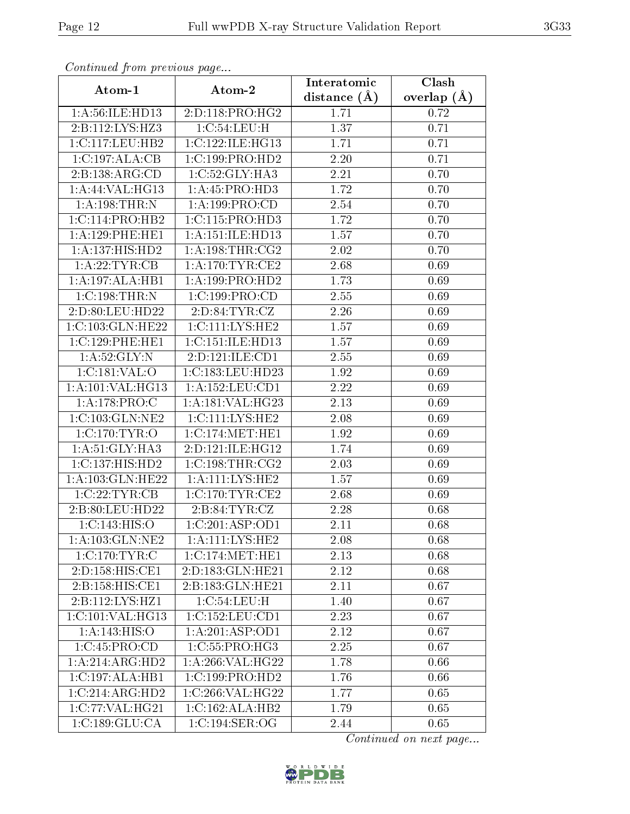| Communa from previous page |                                    | Interatomic      | Clash         |
|----------------------------|------------------------------------|------------------|---------------|
| Atom-1                     | Atom-2                             | distance $(\AA)$ | overlap $(A)$ |
| 1:A:56:ILE:HD13            | 2:D:118:PRO:HG2                    | 1.71             | 0.72          |
| 2: B:112: LYS: HZ3         | 1:C:54:LEU:H                       | 1.37             | 0.71          |
| 1:C:117:LEU:HB2            | 1:C:122:ILE:HG13                   | 1.71             | 0.71          |
| 1:C:197:ALA:CB             | 1:C:199:PRO:HD2                    | 2.20             | 0.71          |
| 2:B:138:ARG:CD             | 1:C:52:GLY:HA3                     | $2.21\,$         | 0.70          |
| 1: A:44: VAL: HG13         | 1: A:45: PRO:HD3                   | 1.72             | 0.70          |
| 1:A:198:THR:N              | 1:A:199:PRO:CD                     | 2.54             | 0.70          |
| 1:C:114:PRO:HB2            | 1:C:115:PRO:HD3                    | 1.72             | 0.70          |
| 1:A:129:PHE:HE1            | 1:A:151:ILE:HD13                   | 1.57             | 0.70          |
| 1:A:137:HIS:HD2            | 1: A:198:THR:CG2                   | 2.02             | 0.70          |
| 1:A:22:TYR:CB              | 1: A:170: TYR: CE2                 | 2.68             | 0.69          |
| 1:A:197:ALA:HB1            | 1: A: 199: PRO: HD2                | 1.73             | 0.69          |
| $1:C:198$ : THR: N         | 1:C:199:PRO:CD                     | 2.55             | 0.69          |
| 2:D:80:LEU:HD22            | 2:D:84:TTR:CZ                      | 2.26             | 0.69          |
| 1:C:103:GLN:HE22           | 1:C:111:LYS:HE2                    | 1.57             | 0.69          |
| 1:C:129:PHE:HE1            | 1:C:151:ILE:HD13                   | 1.57             | 0.69          |
| 1: A:52: GLY:N             | 2:D:121:ILE:CD1                    | 2.55             | 0.69          |
| 1:C:181:VAL:O              | 1:C:183:LEU:HD23                   | 1.92             | 0.69          |
| 1:A:101:VAL:HG13           | 1: A: 152: LEU: CD1                | 2.22             | 0.69          |
| 1: A:178: PRO:C            | 1: A:181: VAL:HG23                 | 2.13             | 0.69          |
| 1:C:103:GLN:NE2            | 1: C: 111: LYS: HE2                | 2.08             | 0.69          |
| 1:C:170:TYR:O              | 1:C:174:MET:HE1                    | 1.92             | 0.69          |
| 1:A:51:GLY:HA3             | 2:D:121:ILE:HG12                   | 1.74             | 0.69          |
| 1:C:137:HIS:HD2            | 1:C:198:THR:CG2                    | 2.03             | 0.69          |
| 1:A:103:GLN:HE22           | 1: A: 111: LYS: HE2                | 1.57             | 0.69          |
| 1:C:22:TYR:CB              | 1: C:170: TYR: CE2                 | 2.68             | 0.69          |
| 2:B:80:LEU:HD22            | 2: B:84: TYR: CZ                   | 2.28             | 0.68          |
| 1:C:143:HIS:O              | 1:C:201:ASP:OD1                    | 2.11             | 0.68          |
| 1:A:103:GLN:NE2            | $1:A:\overline{111:LYS:HE2}$       | 2.08             | 0.68          |
| 1:C:170:TYR:C              | 1:C:174:MET:HE1                    | 2.13             | 0.68          |
| 2:D:158:HIS:CE1            | 2:D:183:GLN:HE21                   | 2.12             | 0.68          |
| 2:B:158:HIS:CE1            | 2:B:183:GLN:HE21                   | 2.11             | 0.67          |
| 2:B:112:LYS:HZ1            | 1: C:54:LEU:H                      | 1.40             | 0.67          |
| 1:C:101:VAL:HG13           | 1:C:152:LEU:CD1                    | 2.23             | 0.67          |
| 1: A: 143: HIS: O          | 1:A:201:ASP:OD1                    | 2.12             | 0.67          |
| $1:C:45:\overline{PRO:CD}$ | 1:C:55:PRO:HG3                     | 2.25             | 0.67          |
| 1:A:214:ARG:HD2            | 1: A:266: VAL:HG22                 | 1.78             | 0.66          |
| 1:C:197:ALA:HB1            | 1:C:199:PRO:HD2                    | 1.76             | 0.66          |
| 1:C:214:ARG:HD2            | 1:C:266:VAL:HG22                   | 1.77             | 0.65          |
| 1:C:77:VAL:HG21            | 1:C:162:ALA:HB2                    | 1.79             | 0.65          |
| 1:C:189:GLU:CA             | $1:C:194:\overline{\text{SER}:OG}$ | 2.44             | 0.65          |

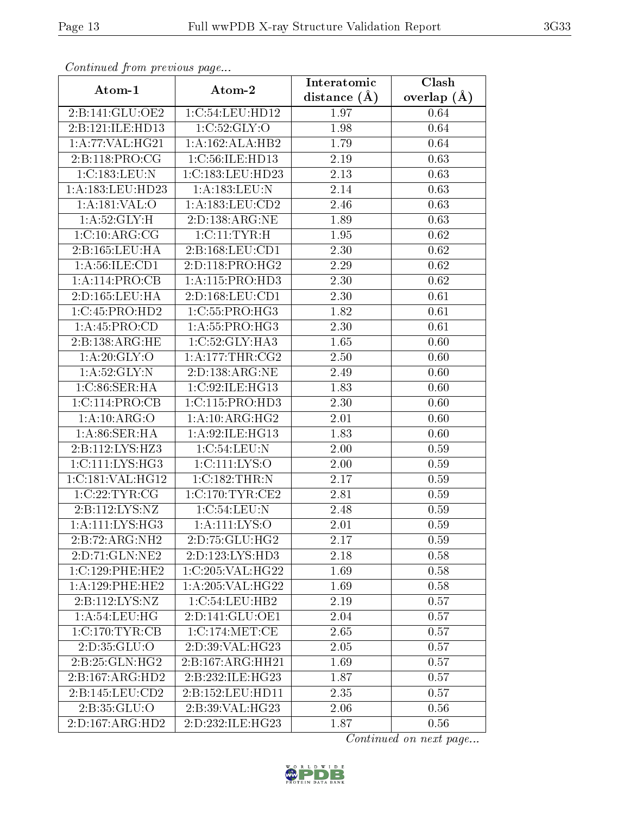| Continuea from previous page |                     | Interatomic       | Clash         |
|------------------------------|---------------------|-------------------|---------------|
| Atom-1                       | Atom-2              | distance $(\AA)$  | overlap $(A)$ |
| 2:B:141:GLU:OE2              | 1:C:54:LEU:HD12     | 1.97              | 0.64          |
| 2:B:121:ILE:HD13             | 1:C:52:GLY:O        | 1.98              | 0.64          |
| 1:A:77:VAL:HG21              | 1:A:162:ALA:HB2     | 1.79              | 0.64          |
| 2:B:118:PRO:CG               | 1:C:56:ILE:HD13     | 2.19              | 0.63          |
| 1:C:183:LEU:N                | 1:C:183:LEU:HD23    | 2.13              | 0.63          |
| 1:A:183:LEU:HD23             | 1:A:183:LEU:N       | 2.14              | 0.63          |
| $1:A:181:VAL:$ <sup>O</sup>  | 1: A: 183: LEU: CD2 | $\overline{2}.46$ | 0.63          |
| 1: A:52: GLY: H              | 2:D:138:ARG:NE      | 1.89              | 0.63          |
| 1:C:10:ARG:CG                | 1:C:11:TYR:H        | 1.95              | 0.62          |
| 2:B:165:LEU:HA               | 2:B:168:LEU:CD1     | 2.30              | 0.62          |
| 1: A:56: ILE: CD1            | 2:D:118:PRO:HG2     | 2.29              | 0.62          |
| 1:A:114:PRO:CB               | 1:A:115:PRO:HD3     | 2.30              | 0.62          |
| 2:D:165:LEU:HA               | 2:D:168:LEU:CD1     | 2.30              | 0.61          |
| 1:C:45:PRO:HD2               | 1:C:55:PRO:HG3      | 1.82              | 0.61          |
| 1:A:45:PRO:CD                | 1:A:55:PRO:HG3      | 2.30              | 0.61          |
| 2:B:138:ARG:HE               | 1:C:52:GLY:HA3      | 1.65              | 0.60          |
| 1: A:20: GLY:O               | 1: A:177:THR:CG2    | 2.50              | 0.60          |
| 1: A:52: GLY:N               | 2:D:138:ARG:NE      | 2.49              | 0.60          |
| 1:C:86:SER:HA                | 1:C:92:ILE:HG13     | 1.83              | 0.60          |
| 1:C:114:PRO:CB               | 1:C:115:PRO:HD3     | 2.30              | 0.60          |
| 1:A:10:ARG:O                 | 1:A:10:ARG:HG2      | 2.01              | 0.60          |
| 1: A:86: SER: HA             | 1:A:92:ILE:HG13     | 1.83              | 0.60          |
| 2:B:112:LYS:HZ3              | 1:C:54:LEU:N        | 2.00              | 0.59          |
| 1: C: 111: LYS: HG3          | 1: C: 111: LYS: O   | 2.00              | 0.59          |
| 1:C:181:VAL:HG12             | 1:C:182:THR:N       | 2.17              | 0.59          |
| 1:C:22:TYR:CG                | 1:C:170:TYR:CE2     | $\overline{2}.81$ | 0.59          |
| 2:B:112:LYS:NZ               | 1:C:54:LEU:N        | 2.48              | 0.59          |
| 1: A:111:LYS:HG3             | 1: A: 111: LYS: O   | 2.01              | 0.59          |
| 2:B:72:ARG:NH2               | 2:D:75:GLU:HG2      | 2.17              | 0.59          |
| 2:D:71:GLN:NE2               | 2:D:123:LYS:HD3     | 2.18              | 0.58          |
| 1:C:129:PHE:HE2              | 1:C:205:VAL:HG22    | 1.69              | 0.58          |
| 1:A:129:PHE:HE2              | 1: A:205: VAL:HG22  | 1.69              | 0.58          |
| 2:B:112:LYS:NZ               | 1:C:54:LEU:HB2      | 2.19              | 0.57          |
| 1:A:54:LEU:HG                | 2:D:141:GLU:OE1     | 2.04              | 0.57          |
| 1:C:170:TYR:CB               | 1:C:174:MET:CE      | 2.65              | 0.57          |
| 2:D:35:GLU:O                 | 2:D:39:VAL:HG23     | 2.05              | 0.57          |
| 2:B:25:GLN:HG2               | 2:B:167:ARG:HH21    | 1.69              | 0.57          |
| 2:B:167:ARG:HD2              | 2:B:232:ILE:HG23    | 1.87              | 0.57          |
| 2:B:145:LEU:CD2              | 2:B:152:LEU:HD11    | 2.35              | 0.57          |
| 2:B:35:GLU:O                 | 2:B:39:VAL:HG23     | 2.06              | 0.56          |
| 2:D:167:ARG:HD2              | 2:D:232:ILE:HG23    | 1.87              | 0.56          |

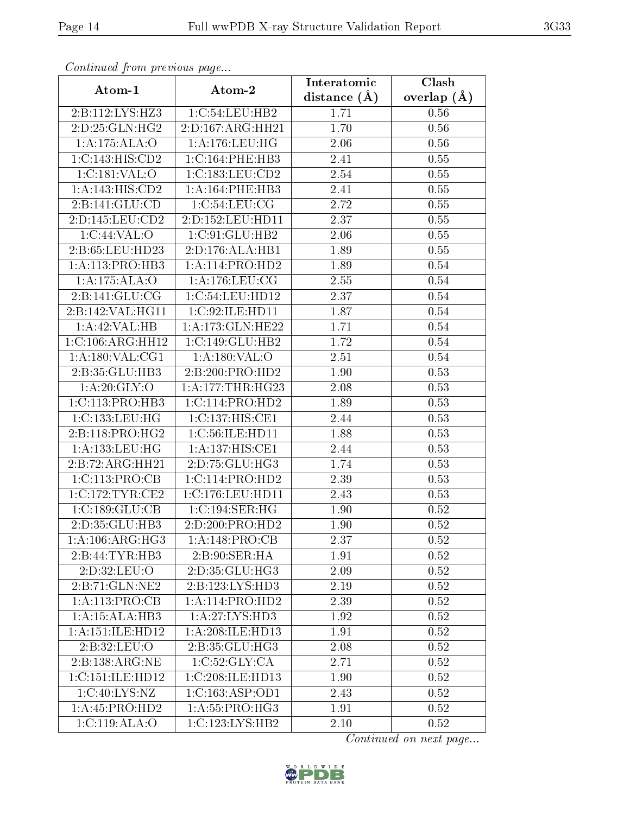| Continuea from previous page         |                             | Interatomic       | Clash         |
|--------------------------------------|-----------------------------|-------------------|---------------|
| Atom-1                               | Atom-2                      | distance $(A)$    | overlap $(A)$ |
| 2:B:112:LYS:HZ3                      | 1:C:54:LEU:HB2              | 1.71              | 0.56          |
| 2:D:25:GLN:HG2                       | 2:D:167:ARG:HH21            | $\overline{1.70}$ | 0.56          |
| 1:A:175:ALA:O                        | 1: A: 176: LEU: HG          | 2.06              | 0.56          |
| 1:C:143:HIS:CD2                      | 1:C:164:PHE:HB3             | 2.41              | 0.55          |
| $1:C:181:\overline{VAL}:O$           | 1:C:183:LEU:CD2             | 2.54              | 0.55          |
| 1:A:143:HIS:CD2                      | 1: A:164:PHE:HB3            | 2.41              | 0.55          |
| 2:B:141:GLU:CD                       | 1:C:54:LEU:CG               | 2.72              | $0.55\,$      |
| 2:D:145:LEU:CD2                      | 2:D:152:LEU:HD11            | 2.37              | 0.55          |
| $1:C:44:\overline{VAL:O}$            | 1:C:91:GLU:HB2              | 2.06              | 0.55          |
| 2:B:65:LEU:HD23                      | 2:D:176:ALA:HB1             | 1.89              | 0.55          |
| 1:A:113:PRO:HB3                      | 1:A:114:PRO:HD2             | 1.89              | 0.54          |
| 1:A:175:ALA:O                        | 1: A:176: LEU:CG            | 2.55              | 0.54          |
| 2: B: 141: GLU: CG                   | 1:C:54:LEU:HD12             | 2.37              | $0.54\,$      |
| 2:B:142:VAL:HG11                     | 1:C:92:ILE:HD11             | 1.87              | 0.54          |
| 1:A:42:VAL:HB                        | 1:A:173:GLN:HE22            | 1.71              | 0.54          |
| 1:C:106:ARG:HH12                     | 1:C:149:GLU:HB2             | 1.72              | 0.54          |
| 1: A: 180: VAL: CG1                  | 1:A:180:VAL:O               | $\overline{2.51}$ | $0.54\,$      |
| 2:B:35:GLU:HB3                       | 2:B:200:PRO:HD2             | 1.90              | 0.53          |
| 1: A:20: GLY:O                       | 1: A:177:THR:HG23           | 2.08              | 0.53          |
| 1:C:113:PRO:HB3                      | 1:C:114:PRO:H <sub>D2</sub> | 1.89              | 0.53          |
| 1:C:133:LEU:HG                       | 1:C:137:HIS:CE1             | $\overline{2}.44$ | 0.53          |
| 2: B: 118: PRO:HG2                   | 1:C:56:ILE:HD11             | 1.88              | 0.53          |
| 1: A: 133: LEU: HG                   | 1:A:137:HIS:CE1             | 2.44              | 0.53          |
| $2:B:72:A\overline{RG:HH21}$         | 2:D:75:GLU:HG3              | 1.74              | 0.53          |
| 1:C:113:PRO:CB                       | 1:C:114:PRO:HD2             | 2.39              | 0.53          |
| 1:C:172:TYR:CE2                      | 1:C:176:LEU:HD11            | 2.43              | 0.53          |
| 1:C:189:GLU:CB                       | 1:C:194:SER:HG              | 1.90              | 0.52          |
| 2:D:35:GLU:HB3                       | 2:D:200:PRO:HD2             | 1.90              | 0.52          |
| 1: A:106: ARG: HG3                   | 1:A:148:PRO:CB              | 2.37              | 0.52          |
| 2:B:44:TYR:HB3                       | 2:B:90:SER:HA               | 1.91              | 0.52          |
| 2:D:32:LEU:O                         | 2:D:35:GLU:HG3              | 2.09              | 0.52          |
| 2:B:71:GLN:NE2                       | 2:B:123:LYS:HD3             | 2.19              | 0.52          |
| 1:A:113:PRO:CB                       | 1:A:114:PRO:HD2             | 2.39              | 0.52          |
| 1:A:15:ALA:HB3                       | $1:A:27:\overline{LYS:HD3}$ | 1.92              | 0.52          |
| 1:A:151:ILE:HD12                     | 1: A:208: ILE: HD13         | 1.91              | 0.52          |
| $2: B:32:$ LEU:O                     | 2:B:35:GLU:HG3              | 2.08              | 0.52          |
| 2: B: 138: ARG: NE                   | 1:C:52:GLY:CA               | 2.71              | 0.52          |
| $1:C:151:I\overline{\text{LE:HD12}}$ | 1:C:208:ILE:HD13            | 1.90              | 0.52          |
| 1:C:40:LYS:NZ                        | 1: C: 163: ASP: OD1         | 2.43              | 0.52          |
| 1:A:45:PRO:HD2                       | 1:A:55:PRO:HG3              | 1.91              | 0.52          |
| $1:C:119:\overline{\text{ALA}:O}$    | 1:C:123:LYS:HB2             | 2.10              | 0.52          |

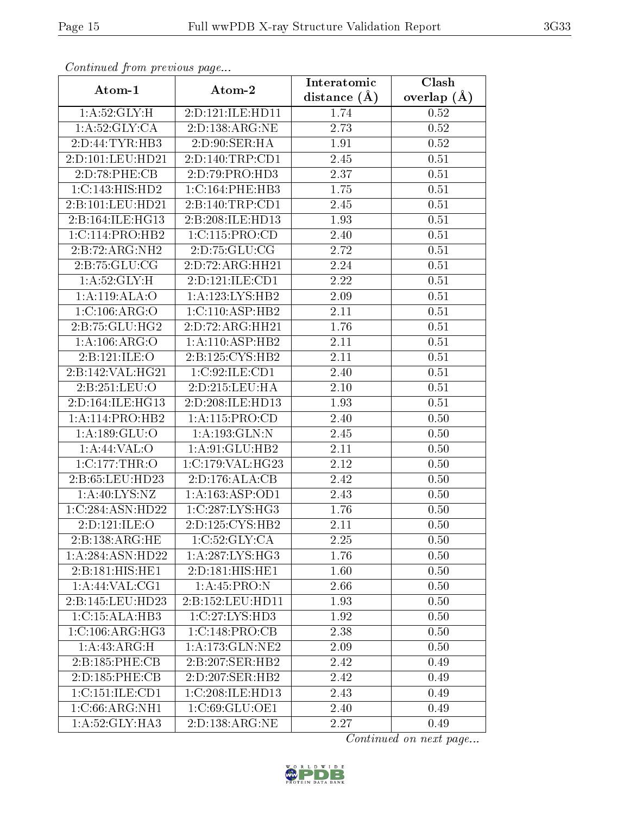| Continuea from previous page                                                                                                               |                              | Interatomic       | Clash           |
|--------------------------------------------------------------------------------------------------------------------------------------------|------------------------------|-------------------|-----------------|
| Atom-1                                                                                                                                     | Atom-2                       | distance $(A)$    | overlap $(\AA)$ |
| 1: A:52: GLY:H                                                                                                                             | 2:D:121:ILE:HD11             | 1.74              | 0.52            |
| 1: A:52: GLY: CA                                                                                                                           | 2:D:138:ARG:NE               | 2.73              | 0.52            |
| 2:D:44:TYR:HB3                                                                                                                             | 2:D:90:SER:HA                | 1.91              | 0.52            |
| 2:D:101:LEU:HD21                                                                                                                           | 2:D:140:TRP:CD1              | 2.45              | 0.51            |
| 2:D:78:PHE:CB                                                                                                                              | 2:D:79:PRO:HD3               | 2.37              | 0.51            |
| $1:\stackrel{\textstyle\rm C}{\textstyle :}143:\stackrel{\textstyle\rm H}{\textstyle \rm HS}:\stackrel{\textstyle\rm H}{\textstyle\rm D}2$ | 1:C:164:PHE:HB3              | 1.75              | 0.51            |
| 2:B:101:LEU:HD21                                                                                                                           | 2:B:140:TRP:CD1              | 2.45              | 0.51            |
| 2:B:164:ILE:HG13                                                                                                                           | 2:B:208:ILE:HD13             | 1.93              | 0.51            |
| $1:C:114:PRO:\overline{HB2}$                                                                                                               | 1:C:115:PRO:CD               | 2.40              | 0.51            |
| $2:B:72:A\overline{\mathrm{RG:NH2}}$                                                                                                       | 2: D: 75: GLU: CG            | 2.72              | 0.51            |
| 2:B:75:GLU:CG                                                                                                                              | $2:D:72:A\overline{RG:HH21}$ | 2.24              | 0.51            |
| 1: A:52: GLY: H                                                                                                                            | 2:D:121:ILE:CD1              | 2.22              | 0.51            |
| 1:A:119:ALA:O                                                                                                                              | 1: A:123: LYS: HB2           | 2.09              | 0.51            |
| 1:C:106:ARG:O                                                                                                                              | 1:C:110:ASP:HB2              | 2.11              | 0.51            |
| 2:B:75:GLU:HG2                                                                                                                             | 2:D:72:ARG:HH21              | 1.76              | 0.51            |
| 1:A:106:ARG:O                                                                                                                              | 1:A:110:ASP:HB2              | 2.11              | 0.51            |
| 2:B:121:ILE:O                                                                                                                              | 2:B:125:CYS:HB2              | 2.11              | 0.51            |
| 2:B:142:VAL:HG21                                                                                                                           | 1:C:92:ILE:CD1               | 2.40              | 0.51            |
| 2:B:251:LEU:O                                                                                                                              | 2:D:215:LEU:HA               | $2.10\,$          | 0.51            |
| 2:D:164:ILE:HG13                                                                                                                           | 2:D:208:ILE:HD13             | 1.93              | 0.51            |
| 1:A:114:PRO:HB2                                                                                                                            | 1: A: 115: PRO: CD           | $\overline{2}.40$ | 0.50            |
| 1:A:189:GLU:O                                                                                                                              | 1: A: 193: GLN:N             | 2.45              | 0.50            |
| 1: A:44: VAL:O                                                                                                                             | 1: A:91: GLU: HB2            | 2.11              | 0.50            |
| 1:C:177:THR:O                                                                                                                              | 1:C:179:VAL:HG23             | 2.12              | 0.50            |
| 2:B:65:LEU:HD23                                                                                                                            | 2:D:176:ALA:CB               | 2.42              | 0.50            |
| 1: A:40: LYS: NZ                                                                                                                           | 1: A: 163: ASP: OD1          | 2.43              | 0.50            |
| 1:C:284:ASN:HD22                                                                                                                           | 1:C:287:LYS:HG3              | 1.76              | 0.50            |
| 2:D:121:ILE:O                                                                                                                              | 2:D:125:CYS:HB2              | 2.11              | 0.50            |
| 2:B:138:ARG:HE                                                                                                                             | 1:C:52:GLY:CA                | 2.25              | 0.50            |
| 1:A:284:ASN:HD22                                                                                                                           | 1: A:287:LYS:HG3             | 1.76              | 0.50            |
| $2:B:181:\overline{HIS:HE1}$                                                                                                               | $2:D:181:HIS:\overline{HE1}$ | 1.60              | 0.50            |
| $1:A:44:\overline{\text{VAL}:CG1}$                                                                                                         | 1: A:45: PRO: N              | 2.66              | 0.50            |
| 2:B:145:LEU:HD23                                                                                                                           | 2:B:152:LEU:HD11             | 1.93              | 0.50            |
| 1:C:15:ALA:HB3                                                                                                                             | 1:C:27:LYS:HD3               | 1.92              | 0.50            |
| 1:C:106:ARG:HG3                                                                                                                            | 1:C:148:PRO:CB               | 2.38              | 0.50            |
| 1: A: 43: ARG: H                                                                                                                           | 1: A:173: GLN:NE2            | 2.09              | 0.50            |
| 2:B:185:PHE:CB                                                                                                                             | 2:B:207:SER:HB2              | 2.42              | 0.49            |
| 2:D:185:PHE:CB                                                                                                                             | 2:D:207:SER:HB2              | 2.42              | 0.49            |
| 1:C:151:ILE:CD1                                                                                                                            | 1:C:208:ILE:HD13             | 2.43              | 0.49            |
| 1:C:66:ARG:NH1                                                                                                                             | 1:C:69:GLU:OE1               | 2.40              | 0.49            |
| 1:A:52:GLY:HA3                                                                                                                             | 2:D:138:ARG:NE               | 2.27              | 0.49            |

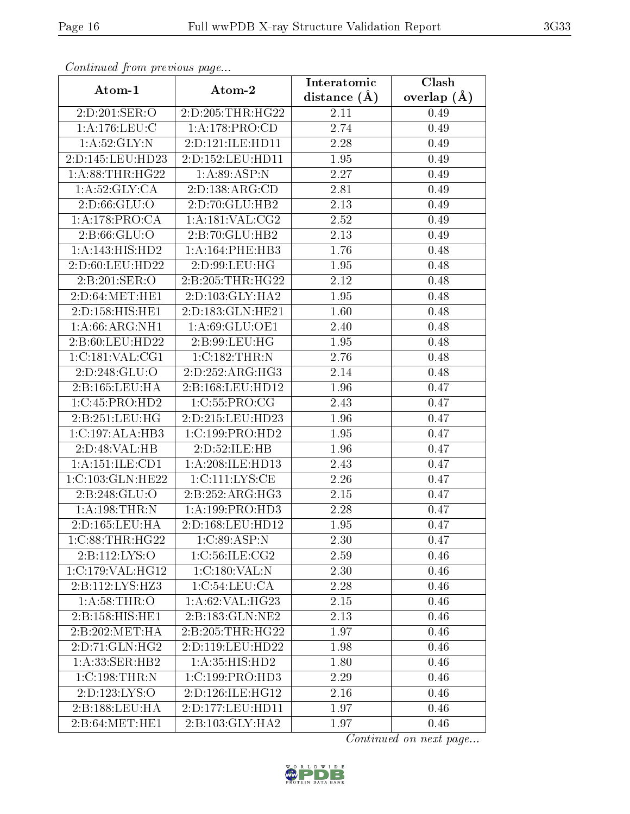| Comunaca jiom previous page |                                | Interatomic    | Clash           |
|-----------------------------|--------------------------------|----------------|-----------------|
| Atom-1                      | Atom-2                         | distance $(A)$ | overlap $(\AA)$ |
| 2:D:201:SER:O               | 2:D:205:THR:HG22               | 2.11           | 0.49            |
| 1: A:176:LEU: C             | 1:A:178:PRO:CD                 | 2.74           | 0.49            |
| 1: A:52: GLY:N              | 2:D:121:ILE:HD11               | 2.28           | 0.49            |
| 2:D:145:LEU:HD23            | 2:D:152:LEU:HD11               | 1.95           | 0.49            |
| 1: A:88:THR:HG22            | 1: A:89: ASP: N                | 2.27           | 0.49            |
| 1: A:52: GLY: CA            | 2:D:138:ARG:CD                 | 2.81           | 0.49            |
| 2: D: 66: GLU: O            | 2:D:70:GLU:HB2                 | 2.13           | 0.49            |
| 1: A:178:PRO:CA             | 1: A:181: VAL:CG2              | 2.52           | 0.49            |
| 2:B:66:GLU:O                | 2:B:70:GLU:HB2                 | 2.13           | 0.49            |
| 1:A:143:HIS:HD2             | 1: A:164:PHE:HB3               | 1.76           | 0.48            |
| 2:D:60:LEU:HD22             | 2:D:99:LEU:HG                  | 1.95           | 0.48            |
| 2:B:201:SER:O               | 2:B:205:THR:HG22               | 2.12           | 0.48            |
| 2:D:64:MET:HE1              | 2:D:103:GLY:HA2                | 1.95           | 0.48            |
| 2:D:158:HIS:HE1             | 2:D:183:GLN:HE21               | 1.60           | 0.48            |
| 1: A:66:ARG:NH1             | 1:A:69:GLU:OE1                 | 2.40           | 0.48            |
| 2:B:60:LEU:HD22             | 2:B:99:LEU:HG                  | 1.95           | 0.48            |
| 1:C:181:VAL:CG1             | 1:C:182:THR:N                  | 2.76           | 0.48            |
| 2:D:248:GLU:O               | 2:D:252:ARG:HG3                | 2.14           | 0.48            |
| 2:B:165:LEU:HA              | 2:B:168:LEU:HD12               | 1.96           | 0.47            |
| 1:C:45:PRO:HD2              | 1:C:55:PRO:CG                  | 2.43           | 0.47            |
| 2:B:251:LEU:HG              | 2:D:215:LEU:HD23               | 1.96           | 0.47            |
| 1:C:197:ALA:HB3             | 1:C:199:PRO:HD2                | 1.95           | 0.47            |
| 2:D:48:VAL:HB               | 2:D:52:ILE:HB                  | 1.96           | 0.47            |
| 1:A:151:ILE:CD1             | 1:A:208:ILE:HD13               | 2.43           | 0.47            |
| 1:C:103:GLN:HE22            | 1:C:111:LYS:CE                 | 2.26           | 0.47            |
| 2:B:248:GLU:O               | 2:B:252:ARG:HG3                | $2.15\,$       | 0.47            |
| 1:A:198:THR:N               | 1:A:199:PRO:HD3                | 2.28           | 0.47            |
| 2:D:165:LEU:HA              | 2:D:168:LEU:HD12               | 1.95           | 0.47            |
| 1:C:88:THR:HG22             | $1:C:89: \overline{\rm ASP:N}$ | 2.30           | 0.47            |
| 2:B:112:LYS:O               | 1:C:56:ILE:CG2                 | 2.59           | 0.46            |
| 1:C:179:VAL:HG12            | 1:C:180:VAL:N                  | 2.30           | 0.46            |
| 2:B:112:LYS:HZ3             | 1:C:54:LEU:CA                  | 2.28           | 0.46            |
| 1: A:58:THR:O               | 1:A:62:VAL:HG23                | 2.15           | 0.46            |
| 2:B:158:HIS:HEL             | 2:B:183:GLN:NE2                | 2.13           | 0.46            |
| 2:B:202:MET:HA              | 2:B:205:THR:HG22               | 1.97           | 0.46            |
| 2: D: 71: GLN: HG2          | 2:D:119:LEU:HD22               | 1.98           | 0.46            |
| 1: A:33: SER:HB2            | 1: A: 35: HIS: HD2             | 1.80           | 0.46            |
| 1:C:198:THR:N               | 1:C:199:PRO:HD3                | 2.29           | 0.46            |
| 2:D:123:LYS:O               | 2: D: 126: ILE: HG12           | 2.16           | 0.46            |
| 2:B:188:LEU:HA              | 2:D:177:LEU:HD11               | 1.97           | 0.46            |
| 2:B:64:MET:HE1              | 2:B:103:GLY:HA2                | 1.97           | 0.46            |

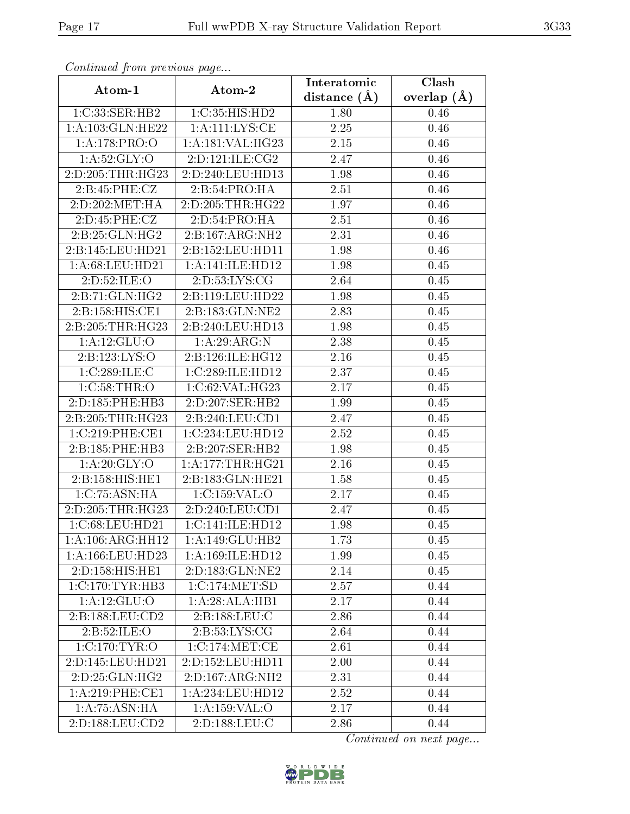| Continuation providuo puga                    |                                                          | Interatomic    | Clash           |
|-----------------------------------------------|----------------------------------------------------------|----------------|-----------------|
| Atom-1                                        | Atom-2                                                   | distance $(A)$ | overlap $(\AA)$ |
| 1:C:33:SER:HB2                                | 1:C:35:HIS:HD2                                           | 1.80           | 0.46            |
| 1:A:103:GLN:HE22                              | 1: A: 111: LYS: CE                                       | 2.25           | 0.46            |
| 1: A:178: PRO:O                               | 1:A:181:VAL:HG23                                         | 2.15           | 0.46            |
| 1: A:52: GLY:O                                | 2:D:121:ILE:CG2                                          | 2.47           | 0.46            |
| 2:D:205:THR:HG23                              | 2:D:240:LEU:HD13                                         | 1.98           | 0.46            |
| 2:B:45:PHE:CZ                                 | 2: B:54: PRO:HA                                          | 2.51           | 0.46            |
| 2:D:202:MET:HA                                | 2:D:205:THR:HG22                                         | 1.97           | 0.46            |
| 2:D:45:PHE:CZ                                 | 2:D:54:PRO:HA                                            | 2.51           | 0.46            |
| 2:B:25:GLN:HG2                                | 2:B:167:ARG:NH2                                          | 2.31           | 0.46            |
| 2:B:145:LEU:HD21                              | 2:B:152:LEU:HD11                                         | 1.98           | 0.46            |
| 1: A:68:LEU:HD21                              | 1:A:141:ILE:HD12                                         | 1.98           | 0.45            |
| 2:D:52:ILE:O                                  | 2:D:53:LYS:CG                                            | 2.64           | 0.45            |
| 2:B:71:GLN:HG2                                | 2:B:119:LEU:HD22                                         | 1.98           | 0.45            |
| 2:B:158:HIS:CE1                               | 2:B:183:GLN:NE2                                          | 2.83           | 0.45            |
| 2:B:205:THR:HG23                              | 2:B:240:LEU:HD13                                         | 1.98           | 0.45            |
| 1:A:12:GLU:O                                  | 1:A:29:ARG:N                                             | 2.38           | 0.45            |
| 2:B:123:LYS:O                                 | 2:B:126:ILE:HG12                                         | 2.16           | 0.45            |
| 1:C:289:ILE:C                                 | 1:C:289:ILE:HD12                                         | 2.37           | 0.45            |
| 1:C:58:THR:O                                  | 1:C:62:VAL:HG23                                          | 2.17           | 0.45            |
| 2:D:185:PHE:HB3                               | 2:D:207:SER:HB2                                          | 1.99           | 0.45            |
| 2:B:205:THR:HG23                              | 2:B:240:LEU:CD1                                          | 2.47           | 0.45            |
| 1:C:219:PHE:CE1                               | 1:C:234:LEU:HD12                                         | 2.52           | 0.45            |
| 2:B:185:PHE:HB3                               | 2:B:207:SER:HB2                                          | 1.98           | 0.45            |
| 1: A:20: GLY:O                                | 1: A:177:THR:HG21                                        | 2.16           | 0.45            |
| 2:B:158:HIS:HE1                               | 2:B:183:GLN:HE21                                         | 1.58           | 0.45            |
| 1:C:75:ASN:HA                                 | 1:C:159:VAL:O                                            | 2.17           | 0.45            |
| 2:D:205:THR:HG23                              | 2:D:240:LEU:CD1                                          | 2.47           | 0.45            |
| 1:C:68:LEU:HD21                               | 1:C:141:ILE:HD12                                         | 1.98           | 0.45            |
| 1:A:106:ARG:HH12                              | 1:A:149:GLU:HB2                                          | 1.73           | 0.45            |
| 1:A:166:LEU:HD23                              | 1:A:169:ILE:HD12                                         | 1.99           | 0.45            |
| 2:D:158:HIS:HE1                               | 2:D:183:GLN:NE2                                          | 2.14           | 0.45            |
| 1:C:170:TYR:HB3                               | 1:C:174:MET:SD                                           | 2.57           | 0.44            |
| 1:A:12:GLU:O                                  | 1:A:28:ALA:HB1                                           | 2.17           | 0.44            |
| $2: B: 188: \overline{\text{LEU}:\text{CD2}}$ | 2:B:188:LEU:C                                            | 2.86           | 0.44            |
| 2:B:52:ILE:O                                  | 2: B: 53: LYS: CG                                        | 2.64           | 0.44            |
| 1:C:170:TYR:O                                 | 1:C:174:MET:CE                                           | 2.61           | 0.44            |
| 2:D:145:LEU:HD21                              | $2:\overline{\mathrm{D}}:152:\mathrm{LEU}:\mathrm{HD11}$ | 2.00           | 0.44            |
| 2:D:25:GLN:HG2                                | 2:D:167:ARG:NH2                                          | 2.31           | 0.44            |
| 1: A:219: PHE:CE1                             | $1:\overline{A}:234:\underline{LEU}:HD12$                | 2.52           | 0.44            |
| 1: A:75: ASN:HA                               | 1: A: 159: VAL: O                                        | 2.17           | 0.44            |
| 2:D:188:LEU:CD2                               | 2:D:188:LEU:C                                            | 2.86           | 0.44            |

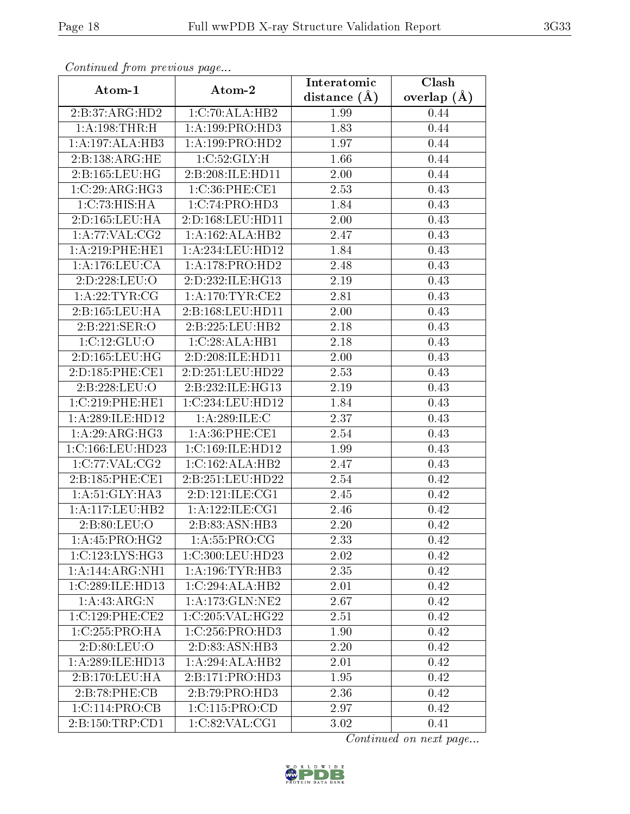| Commuca from previous page        |                            | Interatomic    | Clash           |
|-----------------------------------|----------------------------|----------------|-----------------|
| Atom-1                            | Atom-2                     | distance $(A)$ | overlap $(\AA)$ |
| 2:B:37:ARG:HD2                    | 1:C:70:ALA:HB2             | 1.99           | 0.44            |
| $1:A:198:\overline{\text{THR:H}}$ | 1:A:199:PRO:HD3            | 1.83           | 0.44            |
| 1:A:197:ALA:HB3                   | 1: A: 199: PRO: HD2        | 1.97           | 0.44            |
| 2:B:138:ARG:HE                    | 1:C:52:GLY:H               | 1.66           | 0.44            |
| 2: B: 165: LEU: HG                | 2:B:208:ILE:HD11           | 2.00           | 0.44            |
| 1:C:29:ARG:HG3                    | 1:C:36:PHE:CE1             | 2.53           | 0.43            |
| 1:C:73:HIS:HA                     | 1:C:74:PRO:H <sub>D3</sub> | 1.84           | 0.43            |
| 2:D:165:LEU:HA                    | 2:D:168:LEU:HD11           | $2.00\,$       | 0.43            |
| 1:A:77:VAL:CG2                    | 1:A:162:ALA:HB2            | 2.47           | 0.43            |
| 1: A:219: PHE:HE1                 | 1:A:234:LEU:HD12           | 1.84           | 0.43            |
| 1:A:176:LEU:CA                    | 1:A:178:PRO:HD2            | 2.48           | 0.43            |
| 2:D:228:LEU:O                     | 2:D:232:ILE:HG13           | 2.19           | 0.43            |
| 1:A:22:TYR:CG                     | 1: A:170: TYR: CE2         | 2.81           | 0.43            |
| 2:B:165:LEU:HA                    | 2:B:168:LEU:HD11           | 2.00           | 0.43            |
| 2:B:221:SER:O                     | 2:B:225:LEU:HB2            | 2.18           | 0.43            |
| 1:C:12:GLU:O                      | 1:C:28:ALA:HB1             | 2.18           | 0.43            |
| 2:D:165:LEU:HG                    | 2:D:208:ILE:HD11           | 2.00           | 0.43            |
| 2:D:185:PHE:CE1                   | 2:D:251:LEU:HD22           | 2.53           | 0.43            |
| 2:B:228:LEU:O                     | 2:B:232:ILE:HG13           | 2.19           | 0.43            |
| 1:C:219:PHE:HE1                   | 1:C:234:LEU:HD12           | 1.84           | 0.43            |
| 1:A:289:ILE:HD12                  | 1:A:289:ILE:C              | 2.37           | 0.43            |
| 1: A:29: ARG:HG3                  | 1: A:36: PHE:CE1           | 2.54           | 0.43            |
| 1:C:166:LEU:HD23                  | 1:C:169:ILE:HD12           | 1.99           | 0.43            |
| 1:C:77:VAL:CG2                    | 1:C:162:ALA:HB2            | 2.47           | 0.43            |
| 2:B:185:PHE:CE1                   | 2:B:251:LEU:HD22           | 2.54           | 0.42            |
| 1:A:51:GLY:HA3                    | 2:D:121:ILE:CG1            | 2.45           | 0.42            |
| 1:A:117:LEU:HB2                   | 1: A: 122: ILE: CG1        | 2.46           | 0.42            |
| 2:B:80:LEU:O                      | 2:B:83:ASN:HB3             | 2.20           | 0.42            |
| 1:A:45:PRO:HG2                    | 1: A:55: PRO:CG            | 2.33           | 0.42            |
| 1:C:123:LYS:HG3                   | 1:C:300:LEU:HD23           | 2.02           | 0.42            |
| 1:A:144:ARG:NH1                   | 1: A: 196: TYR: HB3        | 2.35           | 0.42            |
| 1:C:289:ILE:HD13                  | 1:C:294:ALA:HB2            | 2.01           | 0.42            |
| 1: A:43: ARG: N                   | 1: A:173: GLN: NE2         | 2.67           | 0.42            |
| 1:C:129:PHE:CE2                   | 1:C:205:VAL:HG22           | 2.51           | 0.42            |
| 1:C:255:PRO:HA                    | 1:C:256:PRO:HD3            | 1.90           | 0.42            |
| 2:D:80:LEU:O                      | 2:D:83:ASN:HB3             | 2.20           | 0.42            |
| 1:A:289:ILE:HD13                  | 1:A:294:ALA:HB2            | 2.01           | 0.42            |
| $2:B:170:LE\overline{U:HA}$       | 2:B:171:PRO:HD3            | 1.95           | 0.42            |
| 2:B:78:PHE:CB                     | 2:B:79:PRO:HD3             | 2.36           | 0.42            |
| 1:C:114:PRO:CB                    | 1:C:115:PRO:CD             | 2.97           | 0.42            |
| 2:B:150:TRP:CD1                   | 1:C:82:VAL:CG1             | 3.02           | 0.41            |

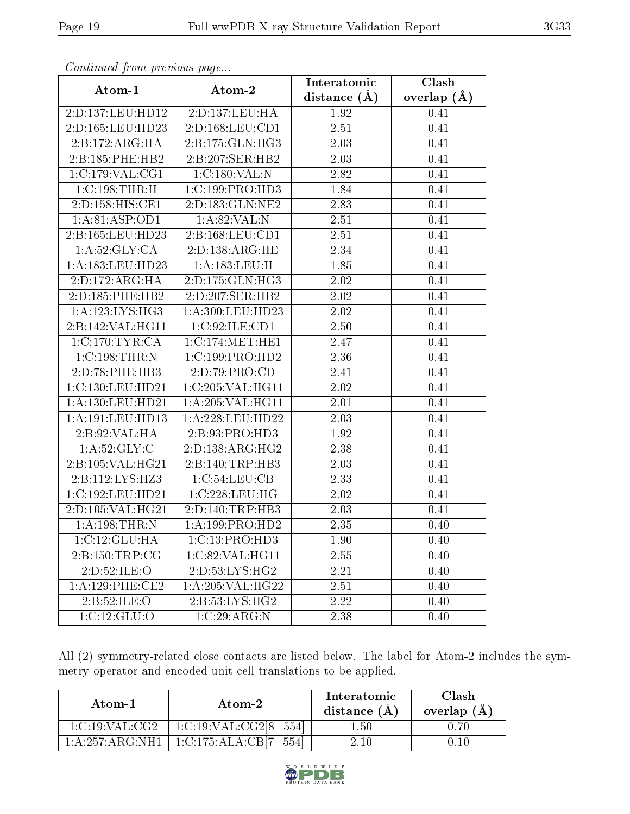| sonomaca jioin proofo ao pago |                    | Interatomic       | $\overline{\text{Clash}}$ |
|-------------------------------|--------------------|-------------------|---------------------------|
| Atom-1                        | Atom-2             | distance $(A)$    | overlap $(A)$             |
| 2:D:137:LEU:HD12              | 2:D:137:LEU:HA     | 1.92              | 0.41                      |
| 2:D:165:LEU:HD23              | 2:D:168:LEU:CD1    | 2.51              | 0.41                      |
| 2:B:172:ARG:HA                | 2:B:175:GLN:HG3    | 2.03              | 0.41                      |
| 2:B:185:PHE:HB2               | 2:B:207:SER:HB2    | 2.03              | 0.41                      |
| 1:C:179:VAL:CG1               | 1:C:180:VAL:N      | 2.82              | 0.41                      |
| 1:C:198:THR:H                 | 1:C:199:PRO:HD3    | 1.84              | 0.41                      |
| 2:D:158:HIS:CE1               | 2:D:183:GLN:NE2    | 2.83              | 0.41                      |
| 1: A:81: ASP:OD1              | 1: A:82:VAL: N     | 2.51              | 0.41                      |
| 2:B:165:LEU:HD23              | 2:B:168:LEU:CD1    | 2.51              | 0.41                      |
| 1: A:52: GLY: CA              | 2:D:138:ARG:HE     | 2.34              | 0.41                      |
| 1:A:183:LEU:HD23              | 1: A: 183: LEU: H  | 1.85              | 0.41                      |
| 2:D:172:ARG:HA                | 2:D:175:GLN:HG3    | 2.02              | 0.41                      |
| 2:D:185:PHE:HB2               | 2:D:207:SER:HB2    | 2.02              | 0.41                      |
| 1: A:123: LYS: HG3            | 1:A:300:LEU:HD23   | 2.02              | 0.41                      |
| 2:B:142:VAL:HG11              | 1:C:92:ILE:CD1     | 2.50              | 0.41                      |
| 1:C:170:TYR:CA                | 1:C:174:MET:HE1    | 2.47              | 0.41                      |
| 1:C:198:THR:N                 | 1:C:199:PRO:HD2    | 2.36              | 0.41                      |
| 2:D:78:PHE:HB3                | 2:D:79:PRO:CD      | 2.41              | 0.41                      |
| 1:C:130:LEU:HD21              | 1:C:205:VAL:HG11   | 2.02              | 0.41                      |
| 1:A:130:LEU:HD21              | 1: A:205: VAL:HGI1 | 2.01              | 0.41                      |
| 1:A:191:LEU:HD13              | 1: A:228:LEU:HD22  | $\overline{2}.03$ | 0.41                      |
| 2:B:92:VAL:HA                 | 2:B:93:PRO:HD3     | 1.92              | 0.41                      |
| 1: A:52: GLY: C               | 2:D:138:ARG:HG2    | 2.38              | 0.41                      |
| 2:B:105:VAL:HG21              | 2:B:140:TRP:HB3    | 2.03              | 0.41                      |
| 2:B:112:LYS:HZ3               | 1:C:54:LEU:CB      | 2.33              | 0.41                      |
| 1:C:192:LEU:HD21              | 1:C:228:LEU:HG     | 2.02              | 0.41                      |
| 2:D:105:VAL:HG21              | 2:D:140:TRP:HB3    | 2.03              | 0.41                      |
| 1:A:198:THR:N                 | 1:A:199:PRO:HD2    | 2.35              | 0.40                      |
| 1: C: 12: GLU: HA             | 1:C:13:PRO:HD3     | 1.90              | 0.40                      |
| 2:B:150:TRP:CG                | 1:C:82:VAL:HG11    | 2.55              | 0.40                      |
| 2:D:52:ILE:O                  | 2:D:53:LYS:HG2     | 2.21              | 0.40                      |
| 1: A:129: PHE:CE2             | 1: A:205:VAL:HG22  | 2.51              | 0.40                      |
| 2:B:52:ILE:O                  | 2: B: 53: LYS: HG2 | 2.22              | 0.40                      |
| 1:C:12:GLU:O                  | 1:C:29:ARG:N       | 2.38              | 0.40                      |

All (2) symmetry-related close contacts are listed below. The label for Atom-2 includes the symmetry operator and encoded unit-cell translations to be applied.

| Atom-1          | Atom-2                                         | Interatomic<br>distance $(A)$ | Clash<br>overlap $(A)$ |
|-----------------|------------------------------------------------|-------------------------------|------------------------|
| 1:C:19:VAL:CG2  | 1:C:19:VAL:CG2[8 554]                          | -50                           |                        |
| 1:A:257:ARG:NH1 | $1:\mathrm{C}:175:\mathrm{ALA}:\mathrm{CB}[7]$ | 2 10                          | 1.10                   |

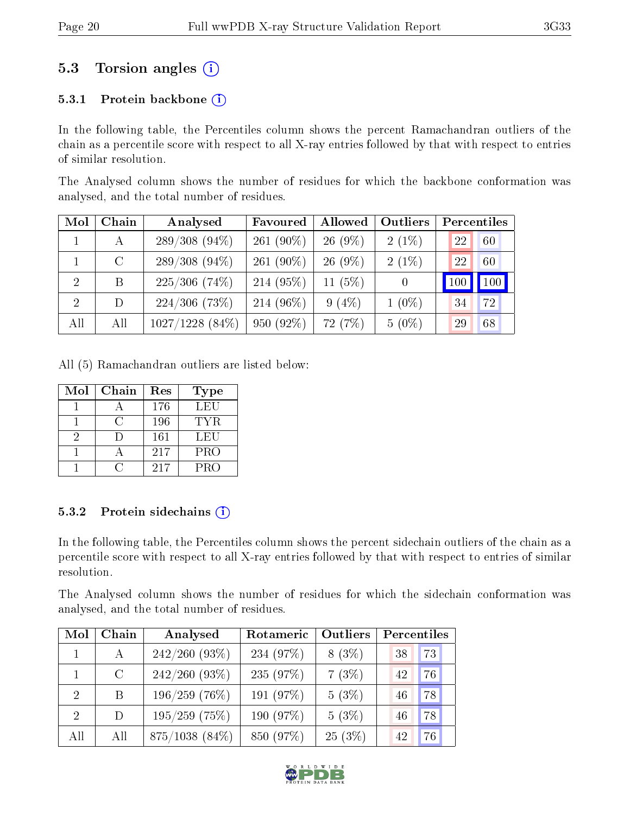### 5.3 Torsion angles  $(i)$

#### 5.3.1 Protein backbone  $(i)$

In the following table, the Percentiles column shows the percent Ramachandran outliers of the chain as a percentile score with respect to all X-ray entries followed by that with respect to entries of similar resolution.

The Analysed column shows the number of residues for which the backbone conformation was analysed, and the total number of residues.

| Mol | Chain   | Analysed          | Favoured     | Allowed   | Outliers |     | Percentiles |  |
|-----|---------|-------------------|--------------|-----------|----------|-----|-------------|--|
|     | А       | $289/308(94\%)$   | 261 $(90\%)$ | $26(9\%)$ | $2(1\%)$ | 22  | 60          |  |
|     | $\rm C$ | $289/308(94\%)$   | 261 $(90\%)$ | $26(9\%)$ | $2(1\%)$ | 22  | 60          |  |
| -2  | Β       | $225/306$ (74%)   | $214(95\%)$  | 11 $(5%)$ |          | 100 | 100         |  |
| 2   | D.      | $224/306$ (73\%)  | 214 $(96\%)$ | $9(4\%)$  | $1(0\%)$ | 34  | 72          |  |
| All | All     | $1027/1228$ (84%) | 950 (92%)    | 72 (7%)   | $5(0\%)$ | 29  | 68          |  |

All (5) Ramachandran outliers are listed below:

| Mol | Chain | Res | <b>Type</b> |
|-----|-------|-----|-------------|
|     |       | 176 | LEU         |
|     |       | 196 | TYR.        |
|     |       | 161 | LEU         |
|     |       | 217 | <b>PRO</b>  |
|     |       | 217 | <b>PRO</b>  |

#### 5.3.2 Protein sidechains (i)

In the following table, the Percentiles column shows the percent sidechain outliers of the chain as a percentile score with respect to all X-ray entries followed by that with respect to entries of similar resolution.

The Analysed column shows the number of residues for which the sidechain conformation was analysed, and the total number of residues.

| Mol                         | Chain         | Analysed         | Rotameric | Outliers  | Percentiles |    |
|-----------------------------|---------------|------------------|-----------|-----------|-------------|----|
|                             | $\mathbf{A}$  | $242/260$ (93\%) | 234 (97%) | $8(3\%)$  | 38          | 73 |
|                             | $\mathcal{C}$ | $242/260$ (93\%) | 235(97%)  | 7(3%)     | 42          | 76 |
| $\overline{2}$              | B             | $196/259$ (76%)  | 191 (97%) | $5(3\%)$  | 46          | 78 |
| $\mathcal{D}_{\mathcal{L}}$ | D             | $195/259$ (75%)  | 190 (97%) | 5(3%)     | 46          | 78 |
| All                         | All           | 875/1038 (84%)   | 850 (97%) | $25(3\%)$ | 42          | 76 |

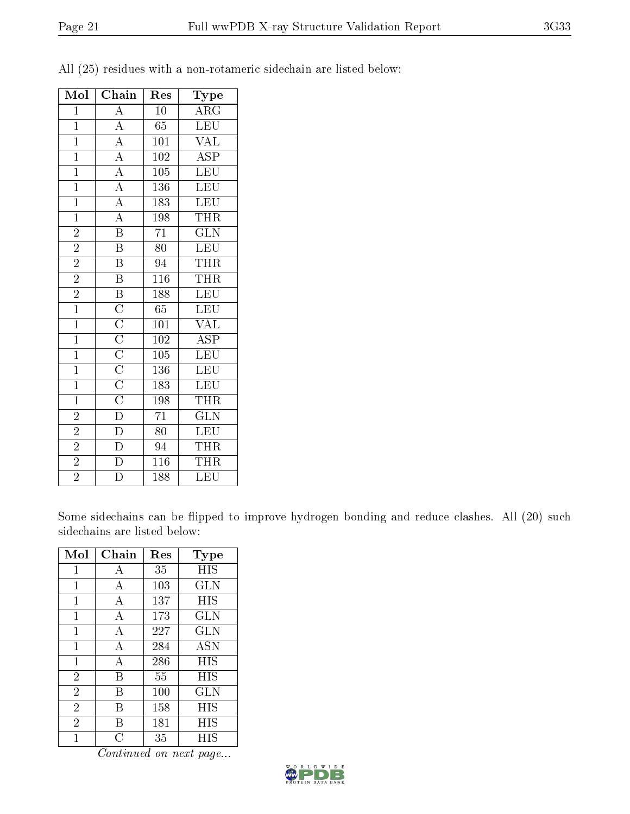| Mol            | Chain                                                                                                                          | Res              | Type                    |
|----------------|--------------------------------------------------------------------------------------------------------------------------------|------------------|-------------------------|
| $\mathbf{1}$   | $\overline{A}$                                                                                                                 | 10               | $\overline{\rm{ARG}}$   |
| $\mathbf{1}$   | $\overline{A}$                                                                                                                 | 65               | <b>LEU</b>              |
| $\overline{1}$ |                                                                                                                                | $\overline{101}$ | $\overline{\text{VAL}}$ |
| $\overline{1}$ | $\frac{\overline{A}}{\overline{A}}$ $\frac{\overline{A}}{\overline{A}}$ $\frac{\overline{A}}{\overline{A}}$                    | $\overline{102}$ | <b>ASP</b>              |
| $\overline{1}$ |                                                                                                                                | $\overline{105}$ | $\overline{\text{LEU}}$ |
| $\overline{1}$ |                                                                                                                                | 136              | $\overline{\text{LEU}}$ |
| $\mathbf{1}$   |                                                                                                                                | 183              | <b>LEU</b>              |
| $\overline{1}$ |                                                                                                                                | 198              | <b>THR</b>              |
| $\overline{2}$ | $\overline{\mathbf{B}}$                                                                                                        | 71               | $\rm G\overline{LN}$    |
| $\overline{2}$ | $\overline{\mathrm{B}}$                                                                                                        | $\overline{80}$  | LEU                     |
| $\overline{2}$ | $\overline{\mathbf{B}}$                                                                                                        | 94               | THR                     |
| $\overline{2}$ | $\overline{\mathbf{B}}$                                                                                                        | $\overline{116}$ | <b>THR</b>              |
| $\overline{2}$ | $\overline{\mathrm{B}}$                                                                                                        | 188              | $\overline{\text{LEU}}$ |
| $\overline{1}$ |                                                                                                                                | $\overline{65}$  | LEU                     |
| $\overline{1}$ |                                                                                                                                | $\overline{101}$ | $\overline{\text{VAL}}$ |
| $\overline{1}$ |                                                                                                                                | 102              | $\overline{\text{ASP}}$ |
| $\overline{1}$ |                                                                                                                                | 105              | $\overline{\text{LEU}}$ |
| $\overline{1}$ | $\overline{C}\ \overline{C}\ \overline{C}\ \overline{C}\ \overline{C}\ \overline{C}\ \overline{C}\ \overline{C}\ \overline{D}$ | 136              | <b>LEU</b>              |
| $\overline{1}$ |                                                                                                                                | $\overline{1}83$ | LEU                     |
| $\overline{1}$ |                                                                                                                                | 198              | <b>THR</b>              |
| $\overline{2}$ |                                                                                                                                | 71               | $\overline{\text{GLN}}$ |
| $\overline{2}$ | $\overline{\rm D}$                                                                                                             | 80               | LEU                     |
| $\overline{2}$ | $\overline{D}$                                                                                                                 | 94               | <b>THR</b>              |
| $\overline{2}$ | $\overline{\rm D}$                                                                                                             | 116              | <b>THR</b>              |
| $\overline{2}$ | $\overline{\rm D}$                                                                                                             | 188              | LEU                     |

All (25) residues with a non-rotameric sidechain are listed below:

Some sidechains can be flipped to improve hydrogen bonding and reduce clashes. All (20) such sidechains are listed below:

| Mol            | Chain          | Res | <b>Type</b> |
|----------------|----------------|-----|-------------|
| 1              | А              | 35  | HIS         |
| 1              | А              | 103 | <b>GLN</b>  |
| 1              | А              | 137 | HIS         |
| 1              | $\overline{A}$ | 173 | <b>GLN</b>  |
| $\overline{1}$ | А              | 227 | GLN         |
| 1              | А              | 284 | <b>ASN</b>  |
| 1              | А              | 286 | HIS         |
| $\overline{2}$ | В              | 55  | HIS         |
| $\overline{2}$ | В              | 100 | <b>GLN</b>  |
| $\overline{2}$ | В              | 158 | HIS         |
| $\overline{2}$ | В              | 181 | HIS         |
| 1              | C              | 35  | HIS         |

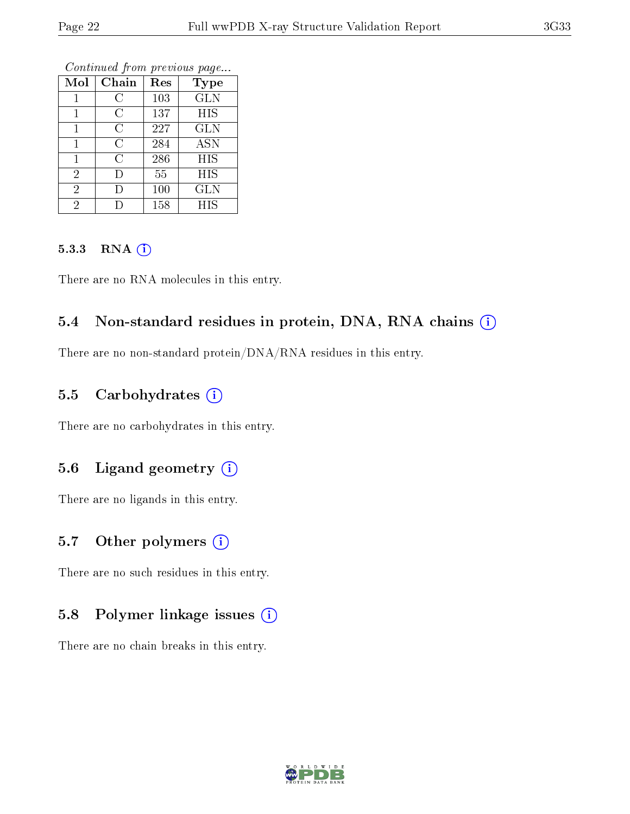| Mol            | Chain          | Res | <b>Type</b> |
|----------------|----------------|-----|-------------|
|                | С              | 103 | <b>GLN</b>  |
|                | С              | 137 | <b>HIS</b>  |
|                | C              | 227 | <b>GLN</b>  |
|                | $\overline{C}$ | 284 | <b>ASN</b>  |
|                | $\mathcal{C}$  | 286 | HIS         |
| $\overline{2}$ | Ð              | 55  | HIS         |
| $\overline{2}$ | D              | 100 | <b>GLN</b>  |
| 2              |                | 158 | <b>HIS</b>  |

Continued from previous page...

#### 5.3.3 RNA (1)

There are no RNA molecules in this entry.

#### 5.4 Non-standard residues in protein, DNA, RNA chains (i)

There are no non-standard protein/DNA/RNA residues in this entry.

#### 5.5 Carbohydrates (i)

There are no carbohydrates in this entry.

#### 5.6 Ligand geometry (i)

There are no ligands in this entry.

#### 5.7 [O](https://www.wwpdb.org/validation/2017/XrayValidationReportHelp#nonstandard_residues_and_ligands)ther polymers  $(i)$

There are no such residues in this entry.

#### 5.8 Polymer linkage issues  $(i)$

There are no chain breaks in this entry.

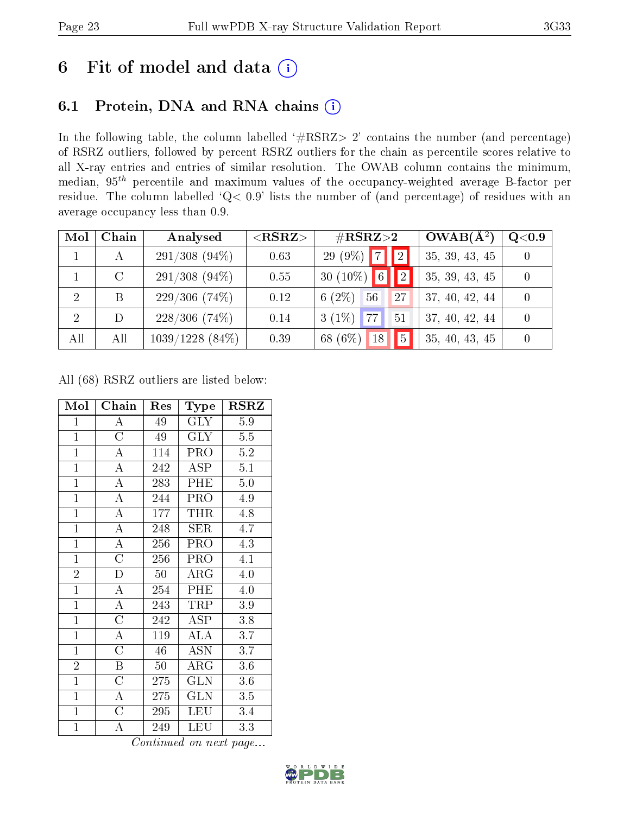## 6 Fit of model and data  $(i)$

### 6.1 Protein, DNA and RNA chains  $(i)$

In the following table, the column labelled  $#RSRZ> 2'$  contains the number (and percentage) of RSRZ outliers, followed by percent RSRZ outliers for the chain as percentile scores relative to all X-ray entries and entries of similar resolution. The OWAB column contains the minimum, median,  $95<sup>th</sup>$  percentile and maximum values of the occupancy-weighted average B-factor per residue. The column labelled ' $Q< 0.9$ ' lists the number of (and percentage) of residues with an average occupancy less than 0.9.

| Mol | Chain                       | Analysed          | $<$ RSRZ $>$ | $\#\text{RSRZ}{>}2$               | $OWAB(A^2)$       | Q <sub>0.9</sub> |
|-----|-----------------------------|-------------------|--------------|-----------------------------------|-------------------|------------------|
|     |                             | $291/308(94\%)$   | 0.63         | 2 <br>$\mathsf{I}$ 7<br>$29(9\%)$ | 35, 39, 43, 45    |                  |
|     | $\mathcal{C}_{\mathcal{C}}$ | $291/308(94\%)$   | 0.55         | 30 $(10\%)$ 6<br> 2               | 35, 39, 43, 45    |                  |
| 2   |                             | $229/306(74\%)$   | 0.12         | 6 $(2\%)$<br>56<br>27             | 37, 40, 42, 44    |                  |
| 2   | D                           | $228/306$ (74\%)  | 0.14         | $3(1\%)$ 77<br>51                 | 40, 42, 44<br>37, |                  |
| All | All                         | $1039/1228(84\%)$ | 0.39         | 5 <br>68 (6\%) 18                 | 35, 40, 43, 45    |                  |

All (68) RSRZ outliers are listed below:

| Mol            | Chain                     | Res             | Type              | <b>RSRZ</b> |
|----------------|---------------------------|-----------------|-------------------|-------------|
| $\mathbf{1}$   | $\boldsymbol{A}$          | 49              | $\rm GLY$         | 5.9         |
| $\overline{1}$ | $\overline{\rm C}$        | $\rm 49$        | <b>GLY</b>        | $5.5\,$     |
| $\mathbf{1}$   | $\overline{\rm A}$        | 114             | PRO               | 5.2         |
| $\mathbf{1}$   | $\boldsymbol{A}$          | 242             | ASP               | 5.1         |
| $\overline{1}$ | $\overline{\rm A}$        | 283             | PHE               | $5.0\,$     |
| $\overline{1}$ | $\overline{\rm A}$        | 244             | PRO               | 4.9         |
| $\overline{1}$ | $\overline{\rm A}$        | 177             | THR               | 4.8         |
| $\overline{1}$ | $\overline{\rm A}$        | 248             | SER               | 4.7         |
| $\mathbf{1}$   | $\overline{\rm A}$        | 256             | PRO               | 4.3         |
| $\mathbf{1}$   | $\overline{\rm C}$        | 256             | PRO               | 4.1         |
| $\overline{2}$ | D                         | 50 <sup>°</sup> | $\rm{ARG}$        | 4.0         |
| $\overline{1}$ | $\overline{\rm A}$        | 254             | PHE               | 4.0         |
| $\overline{1}$ | $\overline{\rm A}$        | 243             | TRP               | 3.9         |
| $\mathbf{1}$   | $\overline{\rm C}$        | 242             | ASP               | 3.8         |
| $\mathbf{1}$   | $\overline{\rm A}$        | 119             | ALA               | 3.7         |
| $\overline{1}$ | $\overline{\rm C}$        | 46              | $\overline{A}$ SN | 3.7         |
| $\overline{2}$ | $\boldsymbol{\mathrm{B}}$ | $50\,$          | $\rm{ARG}$        | $3.6\,$     |
| $\overline{1}$ | $\overline{C}$            | 275             | GLN               | 3.6         |
| $\mathbf{1}$   | $\boldsymbol{A}$          | 275             | <b>GLN</b>        | 3.5         |
| $\mathbf{1}$   | $\mathcal{C}$             | 295             | <b>LEU</b>        | 3.4         |
| $\mathbf{1}$   | А                         | 249             | LEU               | 3.3         |

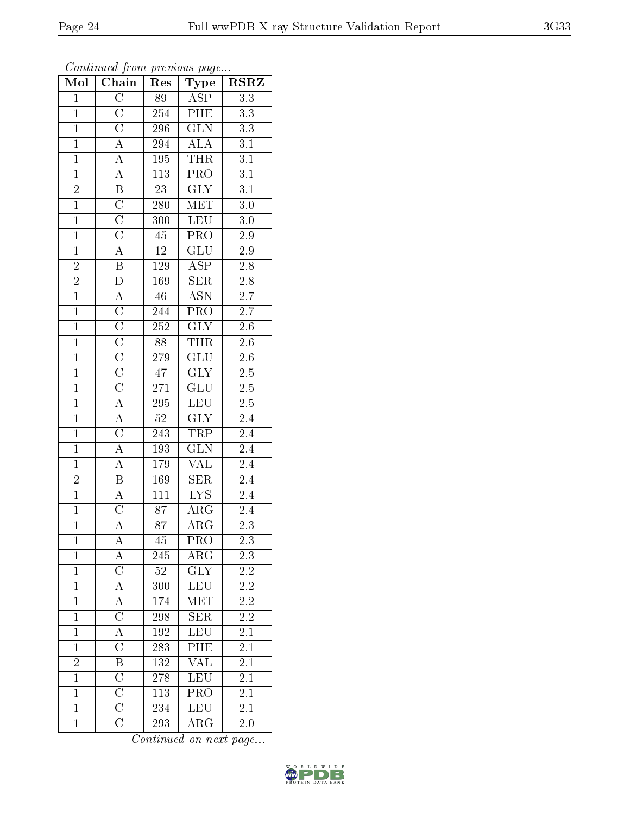|                | Continued from previous page        |                  |                         |                  |
|----------------|-------------------------------------|------------------|-------------------------|------------------|
| Mol            | Chain                               | Res              | Type                    | <b>RSRZ</b>      |
| $\mathbf{1}$   | $\overline{\rm C}$                  | 89               | <b>ASP</b>              | 3.3              |
| $\overline{1}$ |                                     | 254              | $P\overline{HE}$        | $\overline{3.3}$ |
| $\overline{1}$ |                                     | 296              | GLN                     | $3.3\,$          |
| $\overline{1}$ | $\frac{\overline{C}}{\overline{C}}$ | 294              | $\overline{ALA}$        | $\overline{3.1}$ |
| $\overline{1}$ | $\overline{A}$                      | 195              | <b>THR</b>              | $\overline{3.1}$ |
| $\overline{1}$ | $\overline{\rm A}$                  | 113              | $\overline{\text{PRO}}$ | $\overline{3.1}$ |
| $\overline{2}$ | $\overline{B}$                      | 23               | $\overline{\text{GLY}}$ | $\overline{3.1}$ |
| $\overline{1}$ | $\overline{\rm C}$                  | 280              | $\overline{\text{MET}}$ | $\overline{3.0}$ |
| $\overline{1}$ | $\overline{\text{C}}$               | 300              | <b>LEU</b>              | $3.\overline{0}$ |
| $\overline{1}$ | $\overline{\rm C}$                  | $\overline{45}$  | $\overline{\text{PRO}}$ | $\overline{2.9}$ |
| $\overline{1}$ | $\overline{A}$                      | $12\,$           | GLU                     | $2.9\,$          |
| $\overline{2}$ | $\overline{\mathrm{B}}$             | <b>129</b>       | $\overline{\text{ASP}}$ | $2.\overline{8}$ |
|                | $\overline{\rm D}$                  | 169              | <b>SER</b>              | 2.8              |
| $\frac{2}{1}$  | $\overline{A}$                      | 46               | $\overline{\text{ASN}}$ | $\overline{2.7}$ |
| $\overline{1}$ | $\overline{C}$                      | 244              | $\overline{\text{PRO}}$ | $2.7\,$          |
| $\mathbf{1}$   |                                     | 252              | $\overline{\text{GLY}}$ | $2.6\,$          |
| $\overline{1}$ | $\frac{\overline{C}}{\overline{C}}$ | 88               | <b>THR</b>              | $\overline{2.6}$ |
| $\mathbf{1}$   | $\frac{\overline{C}}{C}$            | 279              | $\overline{\text{GLU}}$ | $2.\overline{6}$ |
| $\overline{1}$ |                                     | 47               | $\overline{\text{GLY}}$ | $\overline{2.5}$ |
| $\overline{1}$ | $\overline{\rm C}$                  | 271              | $\overline{\text{GLU}}$ | $\overline{2.5}$ |
| $\mathbf{1}$   | $\overline{\mathbf{A}}$             | 295              | LEU                     | 2.5              |
| $\overline{1}$ | $\overline{A}$                      | $52\,$           | $\overline{\text{GLY}}$ | $2.\overline{4}$ |
| $\overline{1}$ | $\overline{\rm C}$                  | 243              | <b>TRP</b>              | 2.4              |
| $\overline{1}$ | $\overline{A}$                      | 193              | $\overline{\text{GLN}}$ | 2.4              |
| $\overline{1}$ | $\overline{A}$                      | 179              | <b>VAL</b>              | 2.4              |
| $\overline{2}$ | $\overline{B}$                      | 169              | SER                     | 2.4              |
| $\overline{1}$ | $\overline{A}$                      | $\overline{111}$ | $\overline{\text{LYS}}$ | $\overline{2.4}$ |
| $\overline{1}$ | $\overline{\rm C}$                  | $8\overline{7}$  | ${\rm ARG}$             | 2.4              |
| 1              | А                                   | 87               | $\rm{ARG}$              | 2.3              |
| $\mathbf{1}$   | $\boldsymbol{A}$                    | 45               | <b>PRO</b>              | 2.3              |
| $\mathbf{1}$   | $\overline{A}$                      | 245              | $\rm{ARG}$              | 2.3              |
| $\mathbf{1}$   | $\overline{\rm C}$                  | $52\,$           | <b>GLY</b>              | $2.\overline{2}$ |
| $\overline{1}$ | $\overline{A}$                      | 300              | <b>LEU</b>              | 2.2              |
| $\mathbf{1}$   | $\overline{A}$                      | 174              | $\overline{\text{MET}}$ | $2\overline{.2}$ |
| $\mathbf{1}$   | $\overline{\rm C}$                  | 298              | <b>SER</b>              | $2.2\,$          |
| $\mathbf{1}$   | $\overline{A}$                      | 192              | LEU                     | 2.1              |
| $\mathbf{1}$   | $\overline{\rm C}$                  | 283              | PHE                     | $\overline{2.1}$ |
| $\overline{2}$ | $\overline{\mathrm{B}}$             | 132              | <b>VAL</b>              | 2.1              |
| $\overline{1}$ | $\overline{\rm C}$                  | 278              | LEU                     | 2.1              |
| $\mathbf{1}$   | $\overline{\rm C}$                  | $113\,$          | PRO                     | 2.1              |
| $\mathbf{1}$   | $\overline{\mathrm{C}}$             | 234              | $\overline{\text{LEU}}$ | 2.1              |
| $\mathbf{1}$   | $\overline{\overline{\rm C}}$       | 293              | $\overline{\rm{ARG}}$   | 2.0              |